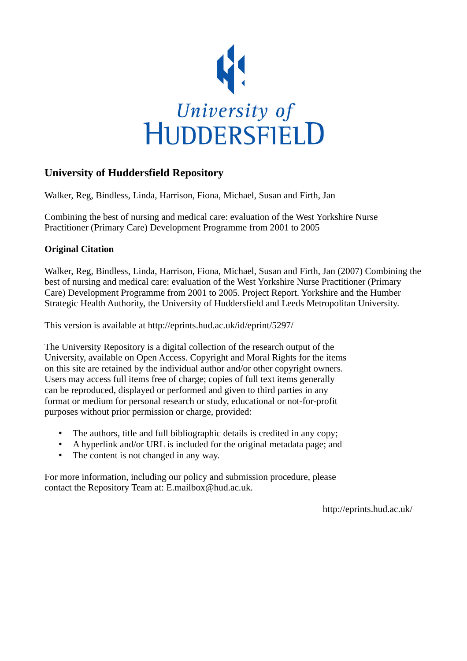

## **University of Huddersfield Repository**

Walker, Reg, Bindless, Linda, Harrison, Fiona, Michael, Susan and Firth, Jan

Combining the best of nursing and medical care: evaluation of the West Yorkshire Nurse Practitioner (Primary Care) Development Programme from 2001 to 2005

## **Original Citation**

Walker, Reg, Bindless, Linda, Harrison, Fiona, Michael, Susan and Firth, Jan (2007) Combining the best of nursing and medical care: evaluation of the West Yorkshire Nurse Practitioner (Primary Care) Development Programme from 2001 to 2005. Project Report. Yorkshire and the Humber Strategic Health Authority, the University of Huddersfield and Leeds Metropolitan University.

This version is available at http://eprints.hud.ac.uk/id/eprint/5297/

The University Repository is a digital collection of the research output of the University, available on Open Access. Copyright and Moral Rights for the items on this site are retained by the individual author and/or other copyright owners. Users may access full items free of charge; copies of full text items generally can be reproduced, displayed or performed and given to third parties in any format or medium for personal research or study, educational or not-for-profit purposes without prior permission or charge, provided:

- The authors, title and full bibliographic details is credited in any copy;
- A hyperlink and/or URL is included for the original metadata page; and
- The content is not changed in any way.

For more information, including our policy and submission procedure, please contact the Repository Team at: E.mailbox@hud.ac.uk.

http://eprints.hud.ac.uk/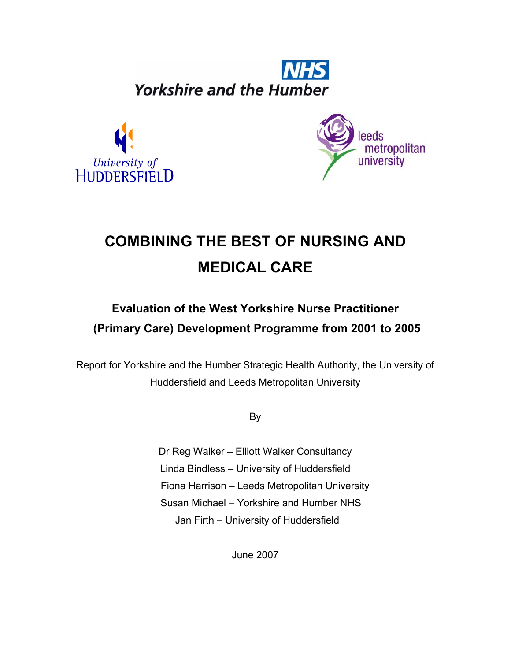**Yorkshire and the Humber** 





# **COMBINING THE BEST OF NURSING AND MEDICAL CARE**

## **Evaluation of the West Yorkshire Nurse Practitioner (Primary Care) Development Programme from 2001 to 2005**

Report for Yorkshire and the Humber Strategic Health Authority, the University of Huddersfield and Leeds Metropolitan University

By

Dr Reg Walker – Elliott Walker Consultancy Linda Bindless – University of Huddersfield Fiona Harrison – Leeds Metropolitan University Susan Michael – Yorkshire and Humber NHS Jan Firth – University of Huddersfield

June 2007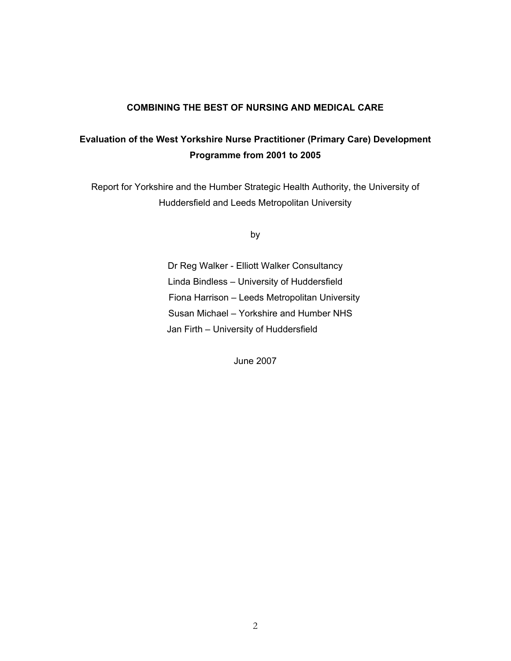## **COMBINING THE BEST OF NURSING AND MEDICAL CARE**

## **Evaluation of the West Yorkshire Nurse Practitioner (Primary Care) Development Programme from 2001 to 2005**

Report for Yorkshire and the Humber Strategic Health Authority, the University of Huddersfield and Leeds Metropolitan University

by

Dr Reg Walker - Elliott Walker Consultancy Linda Bindless – University of Huddersfield Fiona Harrison – Leeds Metropolitan University Susan Michael – Yorkshire and Humber NHS Jan Firth – University of Huddersfield

June 2007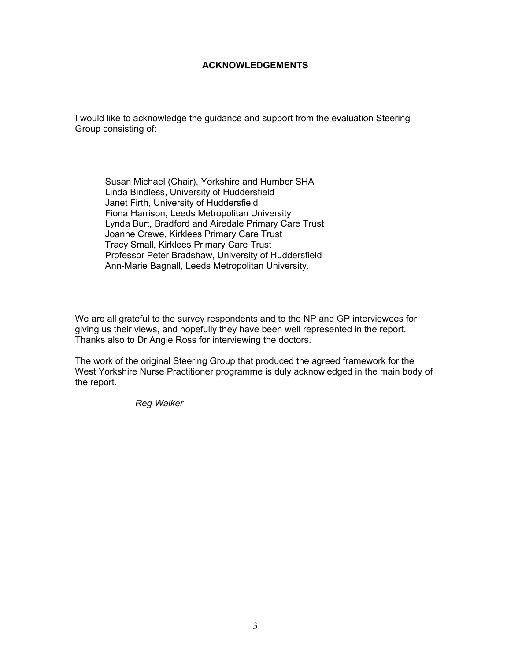#### **ACKNOWLEDGEMENTS**

I would like to acknowledge the guidance and support from the evaluation Steering Group consisting of:

Susan Michael (Chair), Yorkshire and Humber SHA Linda Bindless, University of Huddersfield Janet Firth, University of Huddersfield Fiona Harrison, Leeds Metropolitan University Lynda Burt, Bradford and Airedale Primary Care Trust Joanne Crewe, Kirklees Primary Care Trust Tracy Small, Kirklees Primary Care Trust Professor Peter Bradshaw, University of Huddersfield Ann-Marie Bagnall, Leeds Metropolitan University.

We are all grateful to the survey respondents and to the NP and GP interviewees for giving us their views, and hopefully they have been well represented in the report. Thanks also to Dr Angie Ross for interviewing the doctors.

The work of the original Steering Group that produced the agreed framework for the West Yorkshire Nurse Practitioner programme is duly acknowledged in the main body of the report.

*Reg Walker*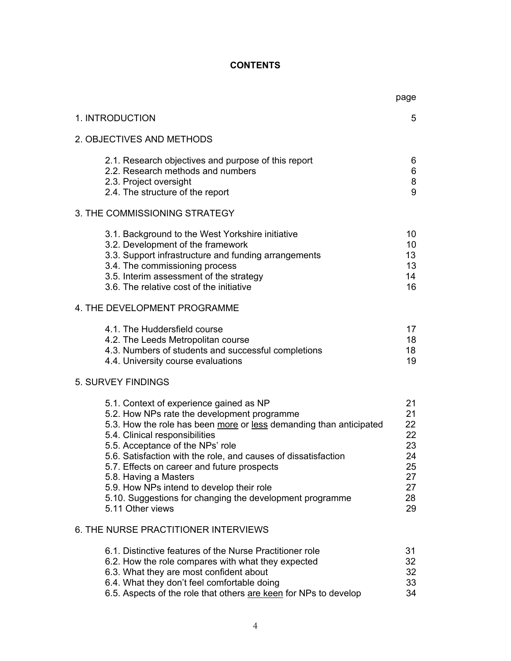## **CONTENTS**

|                                                                                                                                                                                                                                                                                                                                                                                                                                                                                                           | page                                                           |
|-----------------------------------------------------------------------------------------------------------------------------------------------------------------------------------------------------------------------------------------------------------------------------------------------------------------------------------------------------------------------------------------------------------------------------------------------------------------------------------------------------------|----------------------------------------------------------------|
| 1. INTRODUCTION                                                                                                                                                                                                                                                                                                                                                                                                                                                                                           | 5                                                              |
| 2. OBJECTIVES AND METHODS                                                                                                                                                                                                                                                                                                                                                                                                                                                                                 |                                                                |
| 2.1. Research objectives and purpose of this report<br>2.2. Research methods and numbers<br>2.3. Project oversight<br>2.4. The structure of the report                                                                                                                                                                                                                                                                                                                                                    | 6<br>6<br>8<br>9                                               |
| 3. THE COMMISSIONING STRATEGY                                                                                                                                                                                                                                                                                                                                                                                                                                                                             |                                                                |
| 3.1. Background to the West Yorkshire initiative<br>3.2. Development of the framework<br>3.3. Support infrastructure and funding arrangements<br>3.4. The commissioning process<br>3.5. Interim assessment of the strategy<br>3.6. The relative cost of the initiative                                                                                                                                                                                                                                    | 10<br>10 <sup>°</sup><br>13 <sup>°</sup><br>13<br>14<br>16     |
| 4. THE DEVELOPMENT PROGRAMME                                                                                                                                                                                                                                                                                                                                                                                                                                                                              |                                                                |
| 4.1. The Huddersfield course<br>4.2. The Leeds Metropolitan course<br>4.3. Numbers of students and successful completions<br>4.4. University course evaluations                                                                                                                                                                                                                                                                                                                                           | 17<br>18<br>18<br>19                                           |
| 5. SURVEY FINDINGS                                                                                                                                                                                                                                                                                                                                                                                                                                                                                        |                                                                |
| 5.1. Context of experience gained as NP<br>5.2. How NPs rate the development programme<br>5.3. How the role has been more or less demanding than anticipated<br>5.4. Clinical responsibilities<br>5.5. Acceptance of the NPs' role<br>5.6. Satisfaction with the role, and causes of dissatisfaction<br>5.7. Effects on career and future prospects<br>5.8. Having a Masters<br>5.9. How NPs intend to develop their role<br>5.10. Suggestions for changing the development programme<br>5.11 Other views | 21<br>21<br>22<br>22<br>23<br>24<br>25<br>27<br>27<br>28<br>29 |
| 6. THE NURSE PRACTITIONER INTERVIEWS                                                                                                                                                                                                                                                                                                                                                                                                                                                                      |                                                                |
| 6.1. Distinctive features of the Nurse Practitioner role<br>6.2. How the role compares with what they expected<br>6.3. What they are most confident about<br>6.4. What they don't feel comfortable doing<br>6.5. Aspects of the role that others are keen for NPs to develop                                                                                                                                                                                                                              | 31<br>32<br>32<br>33<br>34                                     |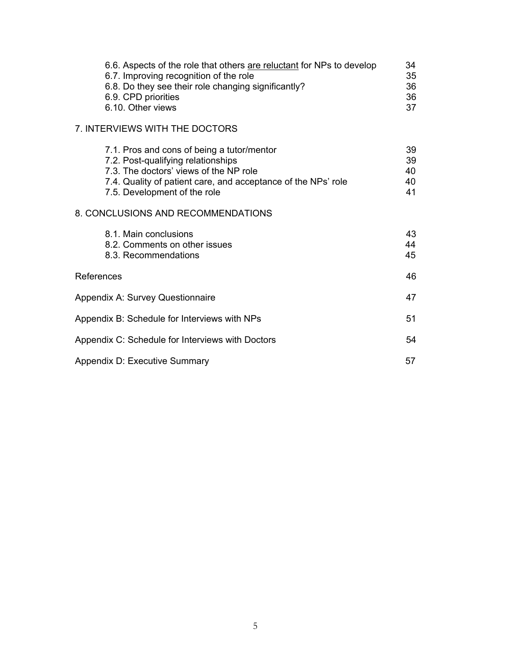| 6.6. Aspects of the role that others are reluctant for NPs to develop<br>6.7. Improving recognition of the role<br>6.8. Do they see their role changing significantly?<br>6.9. CPD priorities<br>6.10. Other views          | 34<br>35<br>36<br>36<br>37 |
|-----------------------------------------------------------------------------------------------------------------------------------------------------------------------------------------------------------------------------|----------------------------|
| 7. INTERVIEWS WITH THE DOCTORS                                                                                                                                                                                              |                            |
| 7.1. Pros and cons of being a tutor/mentor<br>7.2. Post-qualifying relationships<br>7.3. The doctors' views of the NP role<br>7.4. Quality of patient care, and acceptance of the NPs' role<br>7.5. Development of the role | 39<br>39<br>40<br>40<br>41 |
| 8. CONCLUSIONS AND RECOMMENDATIONS                                                                                                                                                                                          |                            |
| 8.1. Main conclusions<br>8.2. Comments on other issues<br>8.3. Recommendations                                                                                                                                              | 43<br>44<br>45             |
| References                                                                                                                                                                                                                  | 46                         |
| Appendix A: Survey Questionnaire                                                                                                                                                                                            | 47                         |
| Appendix B: Schedule for Interviews with NPs                                                                                                                                                                                | 51                         |
| Appendix C: Schedule for Interviews with Doctors                                                                                                                                                                            | 54                         |
| Appendix D: Executive Summary                                                                                                                                                                                               | 57                         |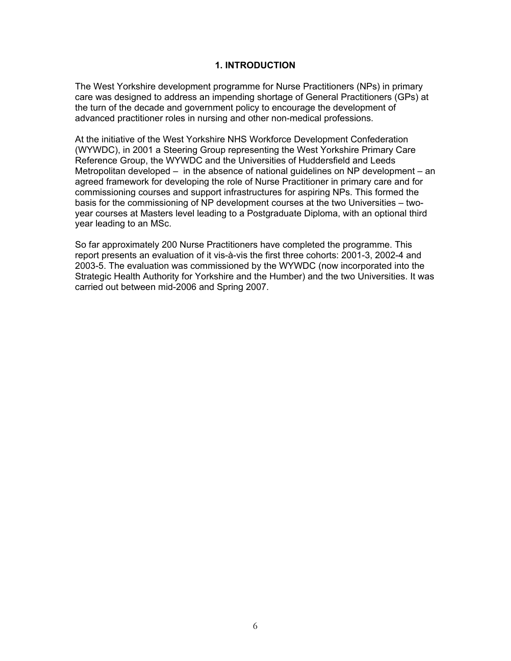#### **1. INTRODUCTION**

The West Yorkshire development programme for Nurse Practitioners (NPs) in primary care was designed to address an impending shortage of General Practitioners (GPs) at the turn of the decade and government policy to encourage the development of advanced practitioner roles in nursing and other non-medical professions.

At the initiative of the West Yorkshire NHS Workforce Development Confederation (WYWDC), in 2001 a Steering Group representing the West Yorkshire Primary Care Reference Group, the WYWDC and the Universities of Huddersfield and Leeds Metropolitan developed – in the absence of national guidelines on NP development – an agreed framework for developing the role of Nurse Practitioner in primary care and for commissioning courses and support infrastructures for aspiring NPs. This formed the basis for the commissioning of NP development courses at the two Universities – twoyear courses at Masters level leading to a Postgraduate Diploma, with an optional third year leading to an MSc.

So far approximately 200 Nurse Practitioners have completed the programme. This report presents an evaluation of it vis-à-vis the first three cohorts: 2001-3, 2002-4 and 2003-5. The evaluation was commissioned by the WYWDC (now incorporated into the Strategic Health Authority for Yorkshire and the Humber) and the two Universities. It was carried out between mid-2006 and Spring 2007.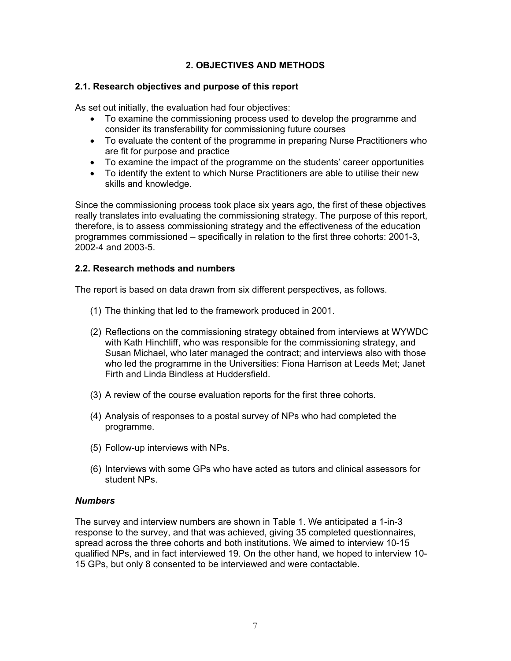## **2. OBJECTIVES AND METHODS**

## **2.1. Research objectives and purpose of this report**

As set out initially, the evaluation had four objectives:

- To examine the commissioning process used to develop the programme and consider its transferability for commissioning future courses
- To evaluate the content of the programme in preparing Nurse Practitioners who are fit for purpose and practice
- To examine the impact of the programme on the students' career opportunities
- To identify the extent to which Nurse Practitioners are able to utilise their new skills and knowledge.

Since the commissioning process took place six years ago, the first of these objectives really translates into evaluating the commissioning strategy. The purpose of this report, therefore, is to assess commissioning strategy and the effectiveness of the education programmes commissioned – specifically in relation to the first three cohorts: 2001-3, 2002-4 and 2003-5.

## **2.2. Research methods and numbers**

The report is based on data drawn from six different perspectives, as follows.

- (1) The thinking that led to the framework produced in 2001.
- (2) Reflections on the commissioning strategy obtained from interviews at WYWDC with Kath Hinchliff, who was responsible for the commissioning strategy, and Susan Michael, who later managed the contract; and interviews also with those who led the programme in the Universities: Fiona Harrison at Leeds Met; Janet Firth and Linda Bindless at Huddersfield.
- (3) A review of the course evaluation reports for the first three cohorts.
- (4) Analysis of responses to a postal survey of NPs who had completed the programme.
- (5) Follow-up interviews with NPs.
- (6) Interviews with some GPs who have acted as tutors and clinical assessors for student NPs.

## *Numbers*

The survey and interview numbers are shown in Table 1. We anticipated a 1-in-3 response to the survey, and that was achieved, giving 35 completed questionnaires, spread across the three cohorts and both institutions. We aimed to interview 10-15 qualified NPs, and in fact interviewed 19. On the other hand, we hoped to interview 10- 15 GPs, but only 8 consented to be interviewed and were contactable.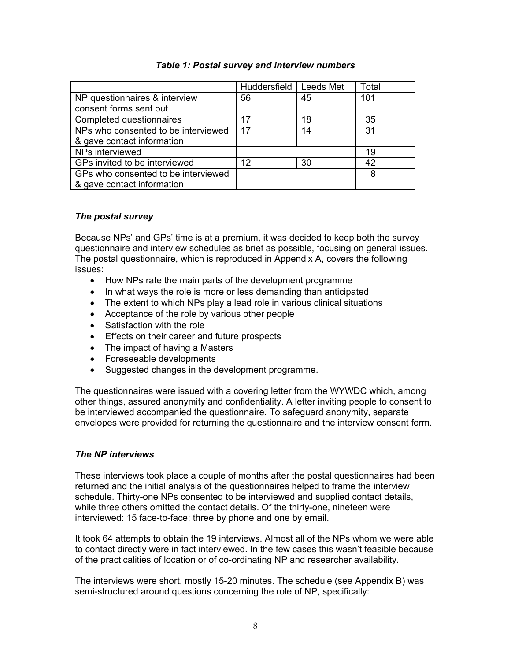|                                     | Huddersfield | <b>Leeds Met</b> | Total |
|-------------------------------------|--------------|------------------|-------|
| NP questionnaires & interview       | 56           | 45               | 101   |
| consent forms sent out              |              |                  |       |
| Completed questionnaires            | 17           | 18               | 35    |
| NPs who consented to be interviewed | 17           | 14               | 31    |
| & gave contact information          |              |                  |       |
| NPs interviewed                     |              |                  | 19    |
| GPs invited to be interviewed       | 12           | 30               | 42    |
| GPs who consented to be interviewed |              |                  | 8     |
| & gave contact information          |              |                  |       |

## *Table 1: Postal survey and interview numbers*

## *The postal survey*

Because NPs' and GPs' time is at a premium, it was decided to keep both the survey questionnaire and interview schedules as brief as possible, focusing on general issues. The postal questionnaire, which is reproduced in Appendix A, covers the following issues:

- How NPs rate the main parts of the development programme
- In what ways the role is more or less demanding than anticipated
- The extent to which NPs play a lead role in various clinical situations
- Acceptance of the role by various other people
- Satisfaction with the role
- Effects on their career and future prospects
- The impact of having a Masters
- Foreseeable developments
- Suggested changes in the development programme.

The questionnaires were issued with a covering letter from the WYWDC which, among other things, assured anonymity and confidentiality. A letter inviting people to consent to be interviewed accompanied the questionnaire. To safeguard anonymity, separate envelopes were provided for returning the questionnaire and the interview consent form.

#### *The NP interviews*

These interviews took place a couple of months after the postal questionnaires had been returned and the initial analysis of the questionnaires helped to frame the interview schedule. Thirty-one NPs consented to be interviewed and supplied contact details, while three others omitted the contact details. Of the thirty-one, nineteen were interviewed: 15 face-to-face; three by phone and one by email.

It took 64 attempts to obtain the 19 interviews. Almost all of the NPs whom we were able to contact directly were in fact interviewed. In the few cases this wasn't feasible because of the practicalities of location or of co-ordinating NP and researcher availability.

The interviews were short, mostly 15-20 minutes. The schedule (see Appendix B) was semi-structured around questions concerning the role of NP, specifically: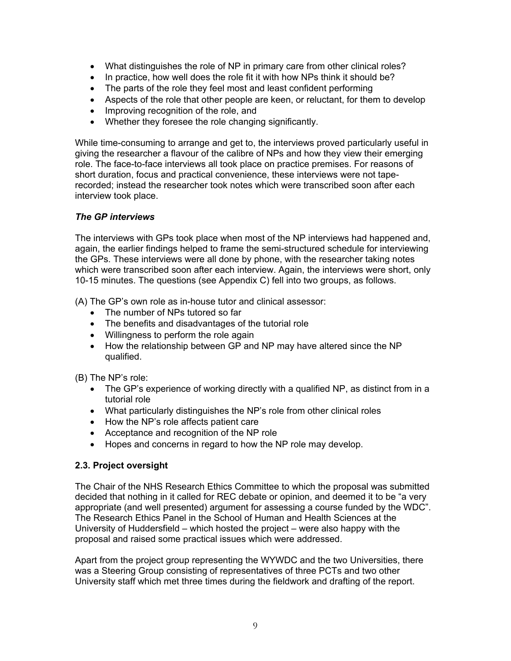- What distinguishes the role of NP in primary care from other clinical roles?
- In practice, how well does the role fit it with how NPs think it should be?
- The parts of the role they feel most and least confident performing
- Aspects of the role that other people are keen, or reluctant, for them to develop
- Improving recognition of the role, and
- Whether they foresee the role changing significantly.

While time-consuming to arrange and get to, the interviews proved particularly useful in giving the researcher a flavour of the calibre of NPs and how they view their emerging role. The face-to-face interviews all took place on practice premises. For reasons of short duration, focus and practical convenience, these interviews were not taperecorded; instead the researcher took notes which were transcribed soon after each interview took place.

## *The GP interviews*

The interviews with GPs took place when most of the NP interviews had happened and, again, the earlier findings helped to frame the semi-structured schedule for interviewing the GPs. These interviews were all done by phone, with the researcher taking notes which were transcribed soon after each interview. Again, the interviews were short, only 10-15 minutes. The questions (see Appendix C) fell into two groups, as follows.

(A) The GP's own role as in-house tutor and clinical assessor:

- The number of NPs tutored so far
- The benefits and disadvantages of the tutorial role
- Willingness to perform the role again
- How the relationship between GP and NP may have altered since the NP qualified.

(B) The NP's role:

- The GP's experience of working directly with a qualified NP, as distinct from in a tutorial role
- What particularly distinguishes the NP's role from other clinical roles
- How the NP's role affects patient care
- Acceptance and recognition of the NP role
- Hopes and concerns in regard to how the NP role may develop.

## **2.3. Project oversight**

The Chair of the NHS Research Ethics Committee to which the proposal was submitted decided that nothing in it called for REC debate or opinion, and deemed it to be "a very appropriate (and well presented) argument for assessing a course funded by the WDC". The Research Ethics Panel in the School of Human and Health Sciences at the University of Huddersfield – which hosted the project – were also happy with the proposal and raised some practical issues which were addressed.

Apart from the project group representing the WYWDC and the two Universities, there was a Steering Group consisting of representatives of three PCTs and two other University staff which met three times during the fieldwork and drafting of the report.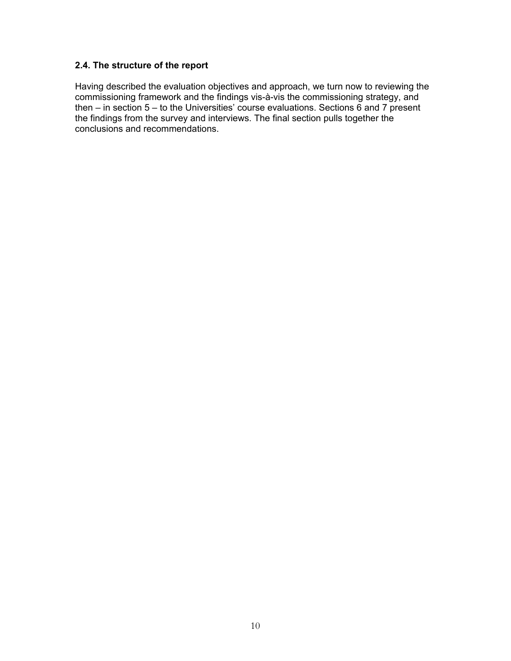## **2.4. The structure of the report**

Having described the evaluation objectives and approach, we turn now to reviewing the commissioning framework and the findings vis-à-vis the commissioning strategy, and then – in section  $5$  – to the Universities' course evaluations. Sections  $\vec{6}$  and  $\vec{7}$  present the findings from the survey and interviews. The final section pulls together the conclusions and recommendations.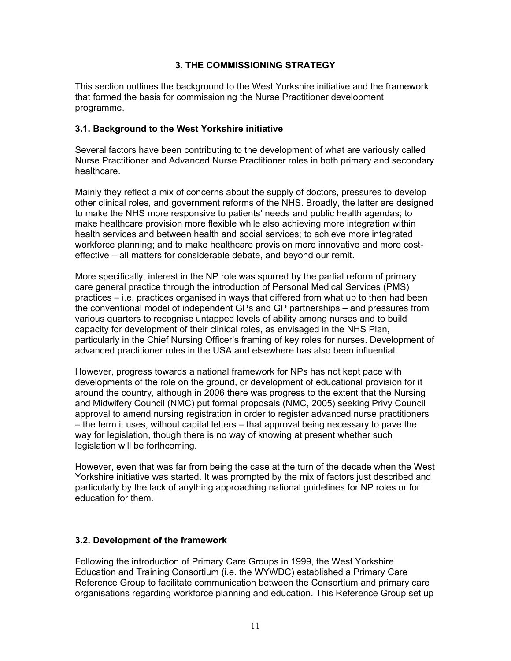## **3. THE COMMISSIONING STRATEGY**

This section outlines the background to the West Yorkshire initiative and the framework that formed the basis for commissioning the Nurse Practitioner development programme.

## **3.1. Background to the West Yorkshire initiative**

Several factors have been contributing to the development of what are variously called Nurse Practitioner and Advanced Nurse Practitioner roles in both primary and secondary healthcare.

Mainly they reflect a mix of concerns about the supply of doctors, pressures to develop other clinical roles, and government reforms of the NHS. Broadly, the latter are designed to make the NHS more responsive to patients' needs and public health agendas; to make healthcare provision more flexible while also achieving more integration within health services and between health and social services; to achieve more integrated workforce planning; and to make healthcare provision more innovative and more costeffective – all matters for considerable debate, and beyond our remit.

More specifically, interest in the NP role was spurred by the partial reform of primary care general practice through the introduction of Personal Medical Services (PMS) practices – i.e. practices organised in ways that differed from what up to then had been the conventional model of independent GPs and GP partnerships – and pressures from various quarters to recognise untapped levels of ability among nurses and to build capacity for development of their clinical roles, as envisaged in the NHS Plan, particularly in the Chief Nursing Officer's framing of key roles for nurses. Development of advanced practitioner roles in the USA and elsewhere has also been influential.

However, progress towards a national framework for NPs has not kept pace with developments of the role on the ground, or development of educational provision for it around the country, although in 2006 there was progress to the extent that the Nursing and Midwifery Council (NMC) put formal proposals (NMC, 2005) seeking Privy Council approval to amend nursing registration in order to register advanced nurse practitioners – the term it uses, without capital letters – that approval being necessary to pave the way for legislation, though there is no way of knowing at present whether such legislation will be forthcoming.

However, even that was far from being the case at the turn of the decade when the West Yorkshire initiative was started. It was prompted by the mix of factors just described and particularly by the lack of anything approaching national guidelines for NP roles or for education for them.

## **3.2. Development of the framework**

Following the introduction of Primary Care Groups in 1999, the West Yorkshire Education and Training Consortium (i.e. the WYWDC) established a Primary Care Reference Group to facilitate communication between the Consortium and primary care organisations regarding workforce planning and education. This Reference Group set up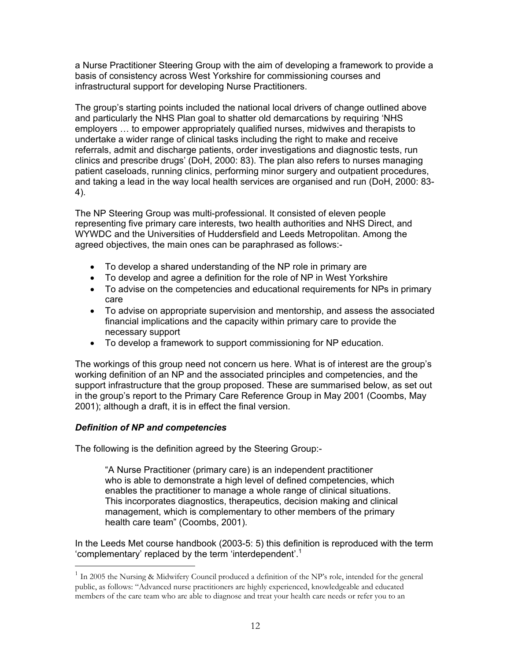a Nurse Practitioner Steering Group with the aim of developing a framework to provide a basis of consistency across West Yorkshire for commissioning courses and infrastructural support for developing Nurse Practitioners.

The group's starting points included the national local drivers of change outlined above and particularly the NHS Plan goal to shatter old demarcations by requiring 'NHS employers … to empower appropriately qualified nurses, midwives and therapists to undertake a wider range of clinical tasks including the right to make and receive referrals, admit and discharge patients, order investigations and diagnostic tests, run clinics and prescribe drugs' (DoH, 2000: 83). The plan also refers to nurses managing patient caseloads, running clinics, performing minor surgery and outpatient procedures, and taking a lead in the way local health services are organised and run (DoH, 2000: 83- 4).

The NP Steering Group was multi-professional. It consisted of eleven people representing five primary care interests, two health authorities and NHS Direct, and WYWDC and the Universities of Huddersfield and Leeds Metropolitan. Among the agreed objectives, the main ones can be paraphrased as follows:-

- To develop a shared understanding of the NP role in primary are
- To develop and agree a definition for the role of NP in West Yorkshire
- To advise on the competencies and educational requirements for NPs in primary care
- To advise on appropriate supervision and mentorship, and assess the associated financial implications and the capacity within primary care to provide the necessary support
- To develop a framework to support commissioning for NP education.

The workings of this group need not concern us here. What is of interest are the group's working definition of an NP and the associated principles and competencies, and the support infrastructure that the group proposed. These are summarised below, as set out in the group's report to the Primary Care Reference Group in May 2001 (Coombs, May 2001); although a draft, it is in effect the final version.

## *Definition of NP and competencies*

 $\overline{a}$ 

The following is the definition agreed by the Steering Group:-

 "A Nurse Practitioner (primary care) is an independent practitioner who is able to demonstrate a high level of defined competencies, which enables the practitioner to manage a whole range of clinical situations. This incorporates diagnostics, therapeutics, decision making and clinical management, which is complementary to other members of the primary health care team" (Coombs, 2001).

In the Leeds Met course handbook (2003-5: 5) this definition is reproduced with the term 'complementary' replaced by the term 'interdependent'.1

 $1$  In 2005 the Nursing & Midwifery Council produced a definition of the NP's role, intended for the general public, as follows: "Advanced nurse practitioners are highly experienced, knowledgeable and educated members of the care team who are able to diagnose and treat your health care needs or refer you to an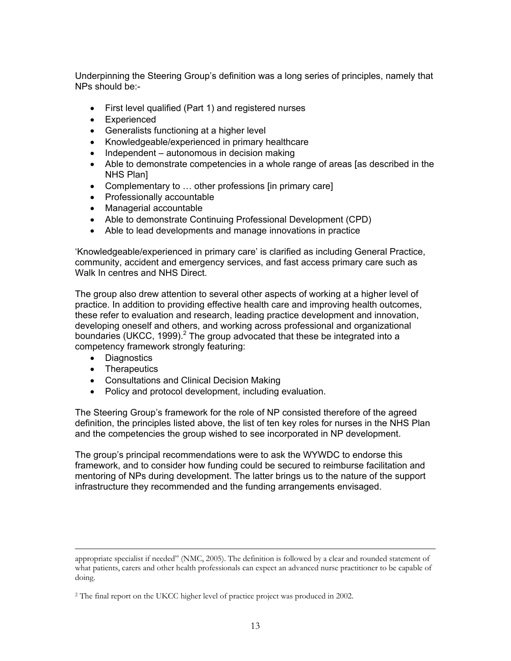Underpinning the Steering Group's definition was a long series of principles, namely that NPs should be:-

- First level qualified (Part 1) and registered nurses
- Experienced
- Generalists functioning at a higher level
- Knowledgeable/experienced in primary healthcare
- Independent autonomous in decision making
- Able to demonstrate competencies in a whole range of areas [as described in the NHS Plan]
- Complementary to … other professions [in primary care]
- Professionally accountable
- Managerial accountable
- Able to demonstrate Continuing Professional Development (CPD)
- Able to lead developments and manage innovations in practice

'Knowledgeable/experienced in primary care' is clarified as including General Practice, community, accident and emergency services, and fast access primary care such as Walk In centres and NHS Direct.

The group also drew attention to several other aspects of working at a higher level of practice. In addition to providing effective health care and improving health outcomes, these refer to evaluation and research, leading practice development and innovation, developing oneself and others, and working across professional and organizational boundaries (UKCC, 1999). $^2$  The group advocated that these be integrated into a competency framework strongly featuring:

- Diagnostics
- Therapeutics
- Consultations and Clinical Decision Making
- Policy and protocol development, including evaluation.

The Steering Group's framework for the role of NP consisted therefore of the agreed definition, the principles listed above, the list of ten key roles for nurses in the NHS Plan and the competencies the group wished to see incorporated in NP development.

The group's principal recommendations were to ask the WYWDC to endorse this framework, and to consider how funding could be secured to reimburse facilitation and mentoring of NPs during development. The latter brings us to the nature of the support infrastructure they recommended and the funding arrangements envisaged.

appropriate specialist if needed" (NMC, 2005). The definition is followed by a clear and rounded statement of what patients, carers and other health professionals can expect an advanced nurse practitioner to be capable of doing.

<sup>&</sup>lt;sup>2</sup> The final report on the UKCC higher level of practice project was produced in 2002.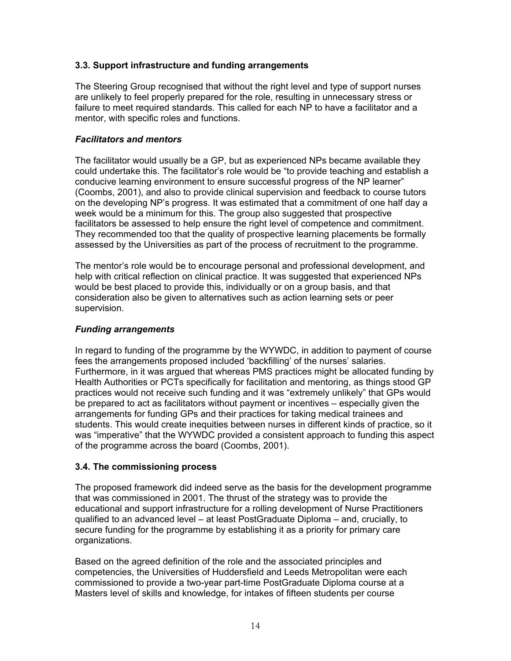## **3.3. Support infrastructure and funding arrangements**

The Steering Group recognised that without the right level and type of support nurses are unlikely to feel properly prepared for the role, resulting in unnecessary stress or failure to meet required standards. This called for each NP to have a facilitator and a mentor, with specific roles and functions.

## *Facilitators and mentors*

The facilitator would usually be a GP, but as experienced NPs became available they could undertake this. The facilitator's role would be "to provide teaching and establish a conducive learning environment to ensure successful progress of the NP learner" (Coombs, 2001), and also to provide clinical supervision and feedback to course tutors on the developing NP's progress. It was estimated that a commitment of one half day a week would be a minimum for this. The group also suggested that prospective facilitators be assessed to help ensure the right level of competence and commitment. They recommended too that the quality of prospective learning placements be formally assessed by the Universities as part of the process of recruitment to the programme.

The mentor's role would be to encourage personal and professional development, and help with critical reflection on clinical practice. It was suggested that experienced NPs would be best placed to provide this, individually or on a group basis, and that consideration also be given to alternatives such as action learning sets or peer supervision.

## *Funding arrangements*

In regard to funding of the programme by the WYWDC, in addition to payment of course fees the arrangements proposed included 'backfilling' of the nurses' salaries. Furthermore, in it was argued that whereas PMS practices might be allocated funding by Health Authorities or PCTs specifically for facilitation and mentoring, as things stood GP practices would not receive such funding and it was "extremely unlikely" that GPs would be prepared to act as facilitators without payment or incentives – especially given the arrangements for funding GPs and their practices for taking medical trainees and students. This would create inequities between nurses in different kinds of practice, so it was "imperative" that the WYWDC provided a consistent approach to funding this aspect of the programme across the board (Coombs, 2001).

## **3.4. The commissioning process**

The proposed framework did indeed serve as the basis for the development programme that was commissioned in 2001. The thrust of the strategy was to provide the educational and support infrastructure for a rolling development of Nurse Practitioners qualified to an advanced level – at least PostGraduate Diploma – and, crucially, to secure funding for the programme by establishing it as a priority for primary care organizations.

Based on the agreed definition of the role and the associated principles and competencies, the Universities of Huddersfield and Leeds Metropolitan were each commissioned to provide a two-year part-time PostGraduate Diploma course at a Masters level of skills and knowledge, for intakes of fifteen students per course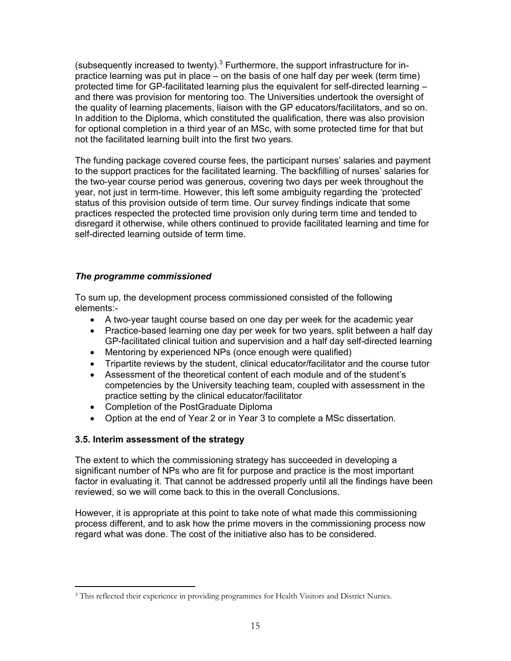(subsequently increased to twenty). $3$  Furthermore, the support infrastructure for inpractice learning was put in place – on the basis of one half day per week (term time) protected time for GP-facilitated learning plus the equivalent for self-directed learning – and there was provision for mentoring too. The Universities undertook the oversight of the quality of learning placements, liaison with the GP educators/facilitators, and so on. In addition to the Diploma, which constituted the qualification, there was also provision for optional completion in a third year of an MSc, with some protected time for that but not the facilitated learning built into the first two years.

The funding package covered course fees, the participant nurses' salaries and payment to the support practices for the facilitated learning. The backfilling of nurses' salaries for the two-year course period was generous, covering two days per week throughout the year, not just in term-time. However, this left some ambiguity regarding the 'protected' status of this provision outside of term time. Our survey findings indicate that some practices respected the protected time provision only during term time and tended to disregard it otherwise, while others continued to provide facilitated learning and time for self-directed learning outside of term time.

## *The programme commissioned*

To sum up, the development process commissioned consisted of the following elements:-

- A two-year taught course based on one day per week for the academic year
- Practice-based learning one day per week for two years, split between a half day GP-facilitated clinical tuition and supervision and a half day self-directed learning
- Mentoring by experienced NPs (once enough were qualified)
- Tripartite reviews by the student, clinical educator/facilitator and the course tutor
- Assessment of the theoretical content of each module and of the student's competencies by the University teaching team, coupled with assessment in the practice setting by the clinical educator/facilitator
- Completion of the PostGraduate Diploma
- Option at the end of Year 2 or in Year 3 to complete a MSc dissertation.

## **3.5. Interim assessment of the strategy**

The extent to which the commissioning strategy has succeeded in developing a significant number of NPs who are fit for purpose and practice is the most important factor in evaluating it. That cannot be addressed properly until all the findings have been reviewed, so we will come back to this in the overall Conclusions.

However, it is appropriate at this point to take note of what made this commissioning process different, and to ask how the prime movers in the commissioning process now regard what was done. The cost of the initiative also has to be considered.

 $\overline{a}$ <sup>3</sup> This reflected their experience in providing programmes for Health Visitors and District Nurses.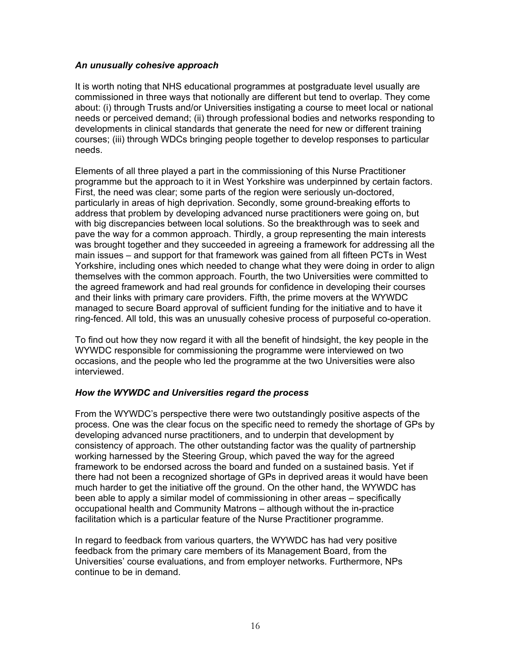## *An unusually cohesive approach*

It is worth noting that NHS educational programmes at postgraduate level usually are commissioned in three ways that notionally are different but tend to overlap. They come about: (i) through Trusts and/or Universities instigating a course to meet local or national needs or perceived demand; (ii) through professional bodies and networks responding to developments in clinical standards that generate the need for new or different training courses; (iii) through WDCs bringing people together to develop responses to particular needs.

Elements of all three played a part in the commissioning of this Nurse Practitioner programme but the approach to it in West Yorkshire was underpinned by certain factors. First, the need was clear; some parts of the region were seriously un-doctored, particularly in areas of high deprivation. Secondly, some ground-breaking efforts to address that problem by developing advanced nurse practitioners were going on, but with big discrepancies between local solutions. So the breakthrough was to seek and pave the way for a common approach. Thirdly, a group representing the main interests was brought together and they succeeded in agreeing a framework for addressing all the main issues – and support for that framework was gained from all fifteen PCTs in West Yorkshire, including ones which needed to change what they were doing in order to align themselves with the common approach. Fourth, the two Universities were committed to the agreed framework and had real grounds for confidence in developing their courses and their links with primary care providers. Fifth, the prime movers at the WYWDC managed to secure Board approval of sufficient funding for the initiative and to have it ring-fenced. All told, this was an unusually cohesive process of purposeful co-operation.

To find out how they now regard it with all the benefit of hindsight, the key people in the WYWDC responsible for commissioning the programme were interviewed on two occasions, and the people who led the programme at the two Universities were also interviewed.

## *How the WYWDC and Universities regard the process*

From the WYWDC's perspective there were two outstandingly positive aspects of the process. One was the clear focus on the specific need to remedy the shortage of GPs by developing advanced nurse practitioners, and to underpin that development by consistency of approach. The other outstanding factor was the quality of partnership working harnessed by the Steering Group, which paved the way for the agreed framework to be endorsed across the board and funded on a sustained basis. Yet if there had not been a recognized shortage of GPs in deprived areas it would have been much harder to get the initiative off the ground. On the other hand, the WYWDC has been able to apply a similar model of commissioning in other areas – specifically occupational health and Community Matrons – although without the in-practice facilitation which is a particular feature of the Nurse Practitioner programme.

In regard to feedback from various quarters, the WYWDC has had very positive feedback from the primary care members of its Management Board, from the Universities' course evaluations, and from employer networks. Furthermore, NPs continue to be in demand.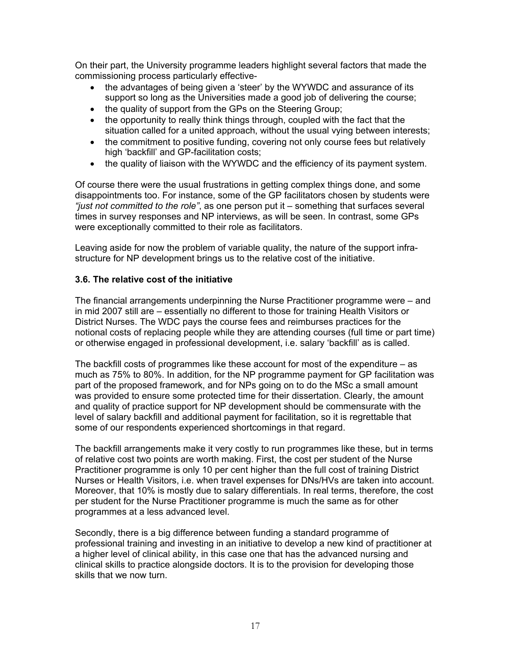On their part, the University programme leaders highlight several factors that made the commissioning process particularly effective-

- the advantages of being given a 'steer' by the WYWDC and assurance of its support so long as the Universities made a good job of delivering the course;
- the quality of support from the GPs on the Steering Group;
- the opportunity to really think things through, coupled with the fact that the situation called for a united approach, without the usual vying between interests;
- the commitment to positive funding, covering not only course fees but relatively high 'backfill' and GP-facilitation costs;
- the quality of liaison with the WYWDC and the efficiency of its payment system.

Of course there were the usual frustrations in getting complex things done, and some disappointments too. For instance, some of the GP facilitators chosen by students were *"just not committed to the role"*, as one person put it – something that surfaces several times in survey responses and NP interviews, as will be seen. In contrast, some GPs were exceptionally committed to their role as facilitators.

Leaving aside for now the problem of variable quality, the nature of the support infrastructure for NP development brings us to the relative cost of the initiative.

## **3.6. The relative cost of the initiative**

The financial arrangements underpinning the Nurse Practitioner programme were – and in mid 2007 still are – essentially no different to those for training Health Visitors or District Nurses. The WDC pays the course fees and reimburses practices for the notional costs of replacing people while they are attending courses (full time or part time) or otherwise engaged in professional development, i.e. salary 'backfill' as is called.

The backfill costs of programmes like these account for most of the expenditure – as much as 75% to 80%. In addition, for the NP programme payment for GP facilitation was part of the proposed framework, and for NPs going on to do the MSc a small amount was provided to ensure some protected time for their dissertation. Clearly, the amount and quality of practice support for NP development should be commensurate with the level of salary backfill and additional payment for facilitation, so it is regrettable that some of our respondents experienced shortcomings in that regard.

The backfill arrangements make it very costly to run programmes like these, but in terms of relative cost two points are worth making. First, the cost per student of the Nurse Practitioner programme is only 10 per cent higher than the full cost of training District Nurses or Health Visitors, i.e. when travel expenses for DNs/HVs are taken into account. Moreover, that 10% is mostly due to salary differentials. In real terms, therefore, the cost per student for the Nurse Practitioner programme is much the same as for other programmes at a less advanced level.

Secondly, there is a big difference between funding a standard programme of professional training and investing in an initiative to develop a new kind of practitioner at a higher level of clinical ability, in this case one that has the advanced nursing and clinical skills to practice alongside doctors. It is to the provision for developing those skills that we now turn.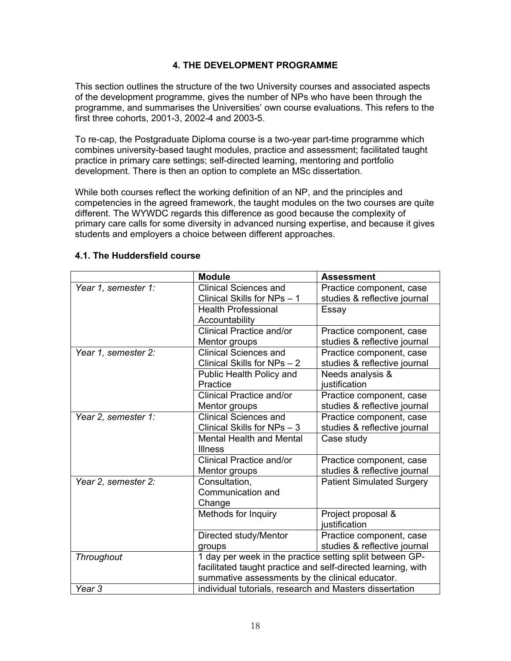## **4. THE DEVELOPMENT PROGRAMME**

This section outlines the structure of the two University courses and associated aspects of the development programme, gives the number of NPs who have been through the programme, and summarises the Universities' own course evaluations. This refers to the first three cohorts, 2001-3, 2002-4 and 2003-5.

To re-cap, the Postgraduate Diploma course is a two-year part-time programme which combines university-based taught modules, practice and assessment; facilitated taught practice in primary care settings; self-directed learning, mentoring and portfolio development. There is then an option to complete an MSc dissertation.

While both courses reflect the working definition of an NP, and the principles and competencies in the agreed framework, the taught modules on the two courses are quite different. The WYWDC regards this difference as good because the complexity of primary care calls for some diversity in advanced nursing expertise, and because it gives students and employers a choice between different approaches.

|                     | <b>Module</b>                                                | <b>Assessment</b>                |  |
|---------------------|--------------------------------------------------------------|----------------------------------|--|
| Year 1, semester 1: | <b>Clinical Sciences and</b>                                 | Practice component, case         |  |
|                     | Clinical Skills for NPs - 1                                  | studies & reflective journal     |  |
|                     | <b>Health Professional</b>                                   | Essay                            |  |
|                     | Accountability                                               |                                  |  |
|                     | <b>Clinical Practice and/or</b>                              | Practice component, case         |  |
|                     | Mentor groups                                                | studies & reflective journal     |  |
| Year 1, semester 2: | <b>Clinical Sciences and</b>                                 | Practice component, case         |  |
|                     | Clinical Skills for NPs - 2                                  | studies & reflective journal     |  |
|                     | Public Health Policy and                                     | Needs analysis &                 |  |
|                     | Practice                                                     | justification                    |  |
|                     | Clinical Practice and/or                                     | Practice component, case         |  |
|                     | Mentor groups                                                | studies & reflective journal     |  |
| Year 2, semester 1: | <b>Clinical Sciences and</b>                                 | Practice component, case         |  |
|                     | Clinical Skills for NPs - 3                                  | studies & reflective journal     |  |
|                     | <b>Mental Health and Mental</b>                              | Case study                       |  |
|                     | <b>Illness</b>                                               |                                  |  |
|                     | Clinical Practice and/or                                     | Practice component, case         |  |
|                     | Mentor groups                                                | studies & reflective journal     |  |
| Year 2, semester 2: | Consultation,                                                | <b>Patient Simulated Surgery</b> |  |
|                     | Communication and                                            |                                  |  |
|                     | Change                                                       |                                  |  |
|                     | Methods for Inquiry                                          | Project proposal &               |  |
|                     |                                                              | justification                    |  |
|                     | Directed study/Mentor                                        | Practice component, case         |  |
|                     | groups                                                       | studies & reflective journal     |  |
| Throughout          | 1 day per week in the practice setting split between GP-     |                                  |  |
|                     | facilitated taught practice and self-directed learning, with |                                  |  |
|                     | summative assessments by the clinical educator.              |                                  |  |
| Year <sub>3</sub>   | individual tutorials, research and Masters dissertation      |                                  |  |

## **4.1. The Huddersfield course**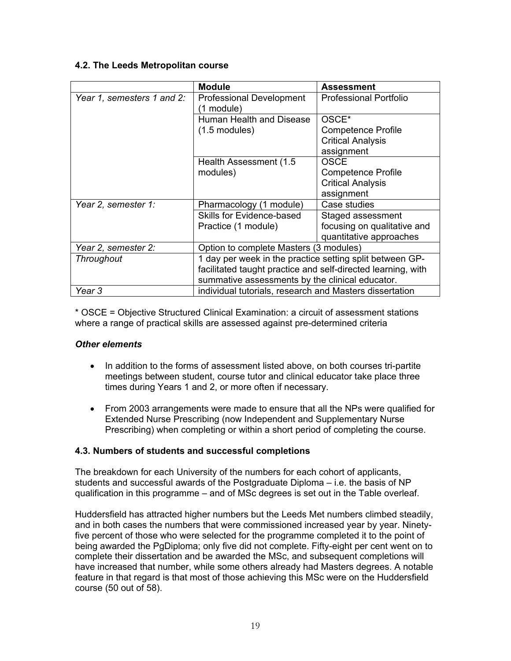## **4.2. The Leeds Metropolitan course**

|                            | <b>Module</b>                                                | <b>Assessment</b>             |  |  |
|----------------------------|--------------------------------------------------------------|-------------------------------|--|--|
| Year 1, semesters 1 and 2: | <b>Professional Development</b><br>(1 module)                | <b>Professional Portfolio</b> |  |  |
|                            | Human Health and Disease                                     | OSCE <sup>*</sup>             |  |  |
|                            | $(1.5 \text{ modules})$                                      | Competence Profile            |  |  |
|                            |                                                              | <b>Critical Analysis</b>      |  |  |
|                            |                                                              | assignment                    |  |  |
|                            | Health Assessment (1.5)                                      | <b>OSCE</b>                   |  |  |
|                            | modules)                                                     | Competence Profile            |  |  |
|                            |                                                              | <b>Critical Analysis</b>      |  |  |
|                            |                                                              | assignment                    |  |  |
| Year 2, semester 1:        | Pharmacology (1 module)                                      | Case studies                  |  |  |
|                            | <b>Skills for Evidence-based</b>                             | Staged assessment             |  |  |
|                            | Practice (1 module)                                          | focusing on qualitative and   |  |  |
|                            |                                                              | quantitative approaches       |  |  |
| Year 2, semester 2:        | Option to complete Masters (3 modules)                       |                               |  |  |
| <b>Throughout</b>          | 1 day per week in the practice setting split between GP-     |                               |  |  |
|                            | facilitated taught practice and self-directed learning, with |                               |  |  |
|                            | summative assessments by the clinical educator.              |                               |  |  |
| Year 3                     | individual tutorials, research and Masters dissertation      |                               |  |  |

\* OSCE = Objective Structured Clinical Examination: a circuit of assessment stations where a range of practical skills are assessed against pre-determined criteria

## *Other elements*

- In addition to the forms of assessment listed above, on both courses tri-partite meetings between student, course tutor and clinical educator take place three times during Years 1 and 2, or more often if necessary.
- From 2003 arrangements were made to ensure that all the NPs were qualified for Extended Nurse Prescribing (now Independent and Supplementary Nurse Prescribing) when completing or within a short period of completing the course.

## **4.3. Numbers of students and successful completions**

The breakdown for each University of the numbers for each cohort of applicants, students and successful awards of the Postgraduate Diploma – i.e. the basis of NP qualification in this programme – and of MSc degrees is set out in the Table overleaf.

Huddersfield has attracted higher numbers but the Leeds Met numbers climbed steadily, and in both cases the numbers that were commissioned increased year by year. Ninetyfive percent of those who were selected for the programme completed it to the point of being awarded the PgDiploma; only five did not complete. Fifty-eight per cent went on to complete their dissertation and be awarded the MSc, and subsequent completions will have increased that number, while some others already had Masters degrees. A notable feature in that regard is that most of those achieving this MSc were on the Huddersfield course (50 out of 58).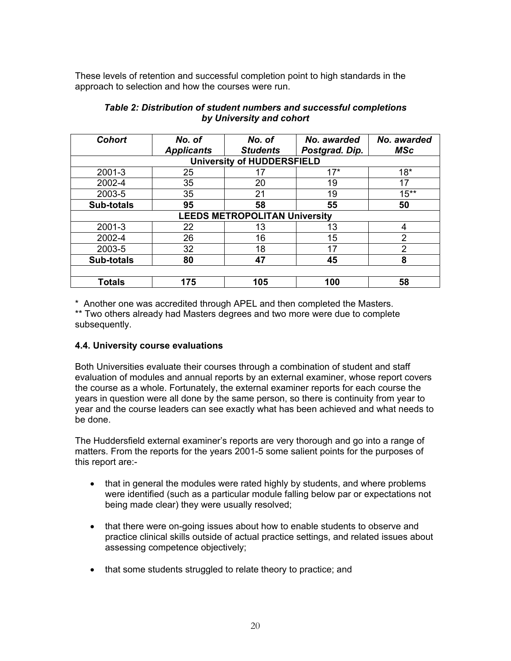These levels of retention and successful completion point to high standards in the approach to selection and how the courses were run.

| <b>Cohort</b>     | No. of<br><b>Applicants</b> | No. of<br><b>Students</b>            | No. awarded<br>Postgrad. Dip. | No. awarded<br><b>MSc</b> |
|-------------------|-----------------------------|--------------------------------------|-------------------------------|---------------------------|
|                   |                             | <b>University of HUDDERSFIELD</b>    |                               |                           |
| 2001-3            | 25                          | 17                                   | $17*$                         | $18*$                     |
| 2002-4            | 35                          | 20                                   | 19                            | 17                        |
| 2003-5            | 35                          | 21                                   | 19                            | $15**$                    |
| <b>Sub-totals</b> | 95                          | 58                                   | 55                            | 50                        |
|                   |                             | <b>LEEDS METROPOLITAN University</b> |                               |                           |
| 2001-3            | 22                          | 13                                   | 13                            | 4                         |
| 2002-4            | 26                          | 16                                   | 15                            | 2                         |
| 2003-5            | 32                          | 18                                   | 17                            | 2                         |
| <b>Sub-totals</b> | 80                          | 47                                   | 45                            | 8                         |
|                   |                             |                                      |                               |                           |
| <b>Totals</b>     | 175                         | 105                                  | 100                           | 58                        |

#### *Table 2: Distribution of student numbers and successful completions by University and cohort*

\* Another one was accredited through APEL and then completed the Masters.

\*\* Two others already had Masters degrees and two more were due to complete subsequently.

## **4.4. University course evaluations**

Both Universities evaluate their courses through a combination of student and staff evaluation of modules and annual reports by an external examiner, whose report covers the course as a whole. Fortunately, the external examiner reports for each course the years in question were all done by the same person, so there is continuity from year to year and the course leaders can see exactly what has been achieved and what needs to be done.

The Huddersfield external examiner's reports are very thorough and go into a range of matters. From the reports for the years 2001-5 some salient points for the purposes of this report are:-

- that in general the modules were rated highly by students, and where problems were identified (such as a particular module falling below par or expectations not being made clear) they were usually resolved;
- that there were on-going issues about how to enable students to observe and practice clinical skills outside of actual practice settings, and related issues about assessing competence objectively;
- that some students struggled to relate theory to practice; and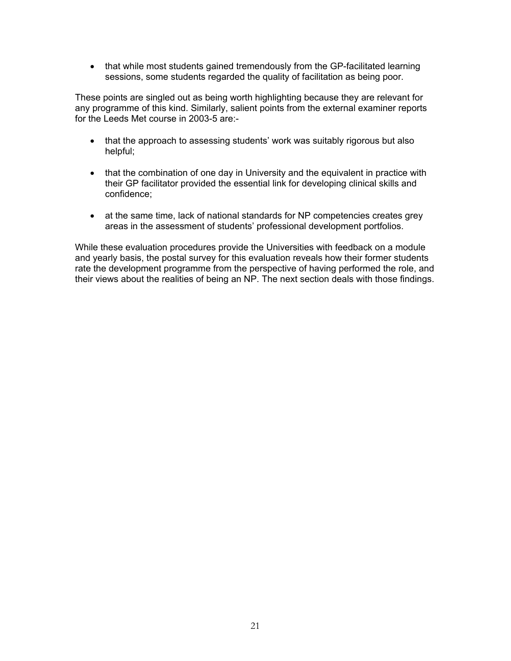• that while most students gained tremendously from the GP-facilitated learning sessions, some students regarded the quality of facilitation as being poor.

These points are singled out as being worth highlighting because they are relevant for any programme of this kind. Similarly, salient points from the external examiner reports for the Leeds Met course in 2003-5 are:-

- that the approach to assessing students' work was suitably rigorous but also helpful;
- that the combination of one day in University and the equivalent in practice with their GP facilitator provided the essential link for developing clinical skills and confidence;
- at the same time, lack of national standards for NP competencies creates grey areas in the assessment of students' professional development portfolios.

While these evaluation procedures provide the Universities with feedback on a module and yearly basis, the postal survey for this evaluation reveals how their former students rate the development programme from the perspective of having performed the role, and their views about the realities of being an NP. The next section deals with those findings.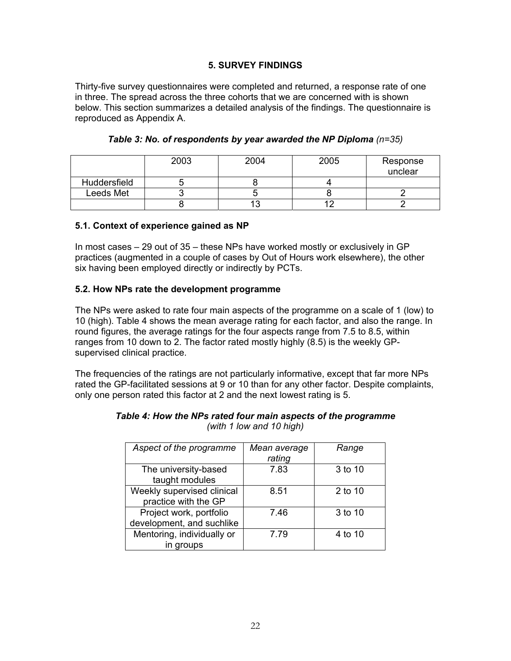## **5. SURVEY FINDINGS**

Thirty-five survey questionnaires were completed and returned, a response rate of one in three. The spread across the three cohorts that we are concerned with is shown below. This section summarizes a detailed analysis of the findings. The questionnaire is reproduced as Appendix A.

|              | 2003 | 2004 | 2005 | Response<br>unclear |
|--------------|------|------|------|---------------------|
| Huddersfield |      |      |      |                     |
| Leeds Met    |      |      |      |                     |
|              |      |      |      |                     |

## **Table 3: No. of respondents by year awarded the NP Diploma (n=35)**

#### **5.1. Context of experience gained as NP**

In most cases – 29 out of 35 – these NPs have worked mostly or exclusively in GP practices (augmented in a couple of cases by Out of Hours work elsewhere), the other six having been employed directly or indirectly by PCTs.

## **5.2. How NPs rate the development programme**

The NPs were asked to rate four main aspects of the programme on a scale of 1 (low) to 10 (high). Table 4 shows the mean average rating for each factor, and also the range. In round figures, the average ratings for the four aspects range from 7.5 to 8.5, within ranges from 10 down to 2. The factor rated mostly highly (8.5) is the weekly GPsupervised clinical practice.

The frequencies of the ratings are not particularly informative, except that far more NPs rated the GP-facilitated sessions at 9 or 10 than for any other factor. Despite complaints, only one person rated this factor at 2 and the next lowest rating is 5.

| Aspect of the programme    | Mean average<br>rating | Range   |
|----------------------------|------------------------|---------|
|                            |                        |         |
| The university-based       | 7.83                   | 3 to 10 |
| taught modules             |                        |         |
| Weekly supervised clinical | 8.51                   | 2 to 10 |
| practice with the GP       |                        |         |
| Project work, portfolio    | 7.46                   | 3 to 10 |
| development, and suchlike  |                        |         |
| Mentoring, individually or | 7.79                   | 4 to 10 |
| in groups                  |                        |         |

#### *Table 4: How the NPs rated four main aspects of the programme (with 1 low and 10 high)*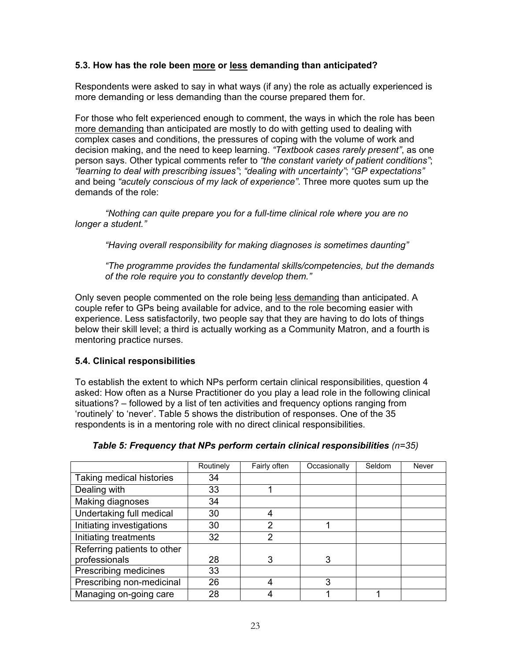## **5.3. How has the role been more or less demanding than anticipated?**

Respondents were asked to say in what ways (if any) the role as actually experienced is more demanding or less demanding than the course prepared them for.

For those who felt experienced enough to comment, the ways in which the role has been more demanding than anticipated are mostly to do with getting used to dealing with complex cases and conditions, the pressures of coping with the volume of work and decision making, and the need to keep learning. *"Textbook cases rarely present"*, as one person says. Other typical comments refer to *"the constant variety of patient conditions"*; *"learning to deal with prescribing issues"*; *"dealing with uncertainty"*; *"GP expectations"* and being *"acutely conscious of my lack of experience"*. Three more quotes sum up the demands of the role:

*"Nothing can quite prepare you for a full-time clinical role where you are no longer a student."* 

 *"Having overall responsibility for making diagnoses is sometimes daunting"* 

*"The programme provides the fundamental skills/competencies, but the demands of the role require you to constantly develop them."* 

Only seven people commented on the role being less demanding than anticipated. A couple refer to GPs being available for advice, and to the role becoming easier with experience. Less satisfactorily, two people say that they are having to do lots of things below their skill level; a third is actually working as a Community Matron, and a fourth is mentoring practice nurses.

## **5.4. Clinical responsibilities**

To establish the extent to which NPs perform certain clinical responsibilities, question 4 asked: How often as a Nurse Practitioner do you play a lead role in the following clinical situations? – followed by a list of ten activities and frequency options ranging from 'routinely' to 'never'. Table 5 shows the distribution of responses. One of the 35 respondents is in a mentoring role with no direct clinical responsibilities.

|                             | Routinely | Fairly often  | Occasionally | Seldom | Never |
|-----------------------------|-----------|---------------|--------------|--------|-------|
| Taking medical histories    | 34        |               |              |        |       |
| Dealing with                | 33        |               |              |        |       |
| Making diagnoses            | 34        |               |              |        |       |
| Undertaking full medical    | 30        |               |              |        |       |
| Initiating investigations   | 30        | 2             |              |        |       |
| Initiating treatments       | 32        | $\mathcal{P}$ |              |        |       |
| Referring patients to other |           |               |              |        |       |
| professionals               | 28        | 3             | 3            |        |       |
| Prescribing medicines       | 33        |               |              |        |       |
| Prescribing non-medicinal   | 26        |               | 3            |        |       |
| Managing on-going care      | 28        |               |              |        |       |

## *Table 5: Frequency that NPs perform certain clinical responsibilities (n=35)*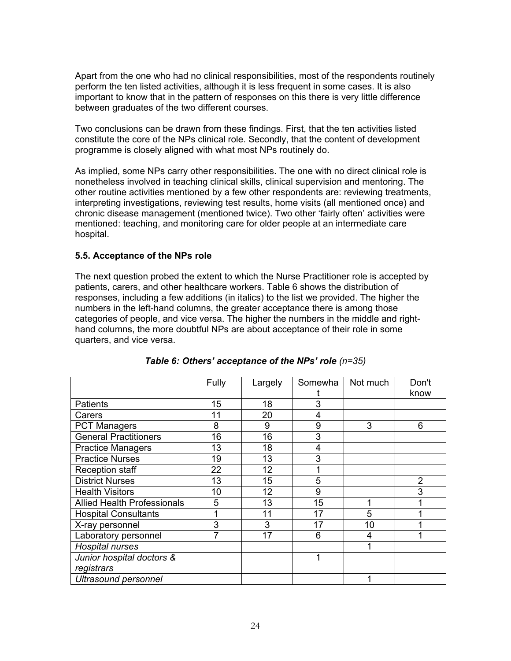Apart from the one who had no clinical responsibilities, most of the respondents routinely perform the ten listed activities, although it is less frequent in some cases. It is also important to know that in the pattern of responses on this there is very little difference between graduates of the two different courses.

Two conclusions can be drawn from these findings. First, that the ten activities listed constitute the core of the NPs clinical role. Secondly, that the content of development programme is closely aligned with what most NPs routinely do.

As implied, some NPs carry other responsibilities. The one with no direct clinical role is nonetheless involved in teaching clinical skills, clinical supervision and mentoring. The other routine activities mentioned by a few other respondents are: reviewing treatments, interpreting investigations, reviewing test results, home visits (all mentioned once) and chronic disease management (mentioned twice). Two other 'fairly often' activities were mentioned: teaching, and monitoring care for older people at an intermediate care hospital.

## **5.5. Acceptance of the NPs role**

The next question probed the extent to which the Nurse Practitioner role is accepted by patients, carers, and other healthcare workers. Table 6 shows the distribution of responses, including a few additions (in italics) to the list we provided. The higher the numbers in the left-hand columns, the greater acceptance there is among those categories of people, and vice versa. The higher the numbers in the middle and righthand columns, the more doubtful NPs are about acceptance of their role in some quarters, and vice versa.

|                                    | Fully | Largely | Somewha | Not much | Don't          |
|------------------------------------|-------|---------|---------|----------|----------------|
|                                    |       |         |         |          | know           |
| <b>Patients</b>                    | 15    | 18      | 3       |          |                |
| Carers                             | 11    | 20      | 4       |          |                |
| <b>PCT Managers</b>                | 8     | 9       | 9       | 3        | 6              |
| <b>General Practitioners</b>       | 16    | 16      | 3       |          |                |
| <b>Practice Managers</b>           | 13    | 18      | 4       |          |                |
| <b>Practice Nurses</b>             | 19    | 13      | 3       |          |                |
| Reception staff                    | 22    | 12      |         |          |                |
| <b>District Nurses</b>             | 13    | 15      | 5       |          | $\overline{2}$ |
| <b>Health Visitors</b>             | 10    | 12      | 9       |          | 3              |
| <b>Allied Health Professionals</b> | 5     | 13      | 15      |          |                |
| <b>Hospital Consultants</b>        |       | 11      | 17      | 5        |                |
| X-ray personnel                    | 3     | 3       | 17      | 10       |                |
| Laboratory personnel               |       | 17      | 6       | 4        |                |
| <b>Hospital nurses</b>             |       |         |         | 1        |                |
| Junior hospital doctors &          |       |         |         |          |                |
| registrars                         |       |         |         |          |                |
| <b>Ultrasound personnel</b>        |       |         |         | ◀        |                |

|  |  | Table 6: Others' acceptance of the NPs' role (n=35) |  |  |
|--|--|-----------------------------------------------------|--|--|
|--|--|-----------------------------------------------------|--|--|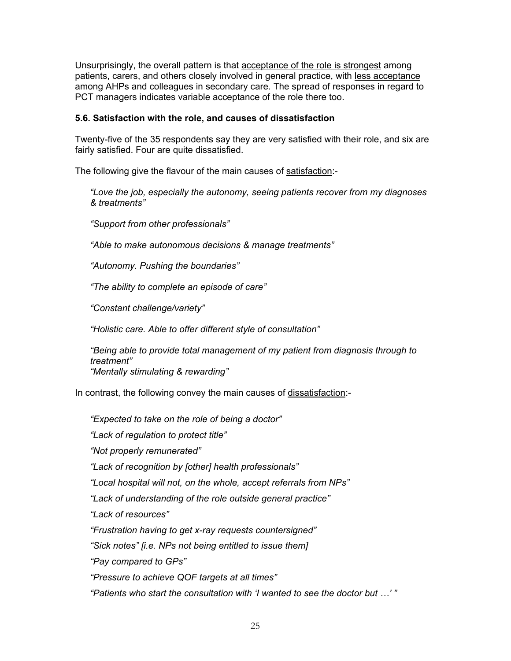Unsurprisingly, the overall pattern is that acceptance of the role is strongest among patients, carers, and others closely involved in general practice, with less acceptance among AHPs and colleagues in secondary care. The spread of responses in regard to PCT managers indicates variable acceptance of the role there too.

#### **5.6. Satisfaction with the role, and causes of dissatisfaction**

Twenty-five of the 35 respondents say they are very satisfied with their role, and six are fairly satisfied. Four are quite dissatisfied.

The following give the flavour of the main causes of satisfaction:-

*"Love the job, especially the autonomy, seeing patients recover from my diagnoses & treatments"* 

*"Support from other professionals"* 

*"Able to make autonomous decisions & manage treatments"* 

*"Autonomy. Pushing the boundaries"* 

*"The ability to complete an episode of care"* 

*"Constant challenge/variety"* 

*"Holistic care. Able to offer different style of consultation"* 

*"Being able to provide total management of my patient from diagnosis through to treatment" "Mentally stimulating & rewarding"* 

In contrast, the following convey the main causes of dissatisfaction:-

*"Expected to take on the role of being a doctor" "Lack of regulation to protect title" "Not properly remunerated" "Lack of recognition by [other] health professionals" "Local hospital will not, on the whole, accept referrals from NPs" "Lack of understanding of the role outside general practice" "Lack of resources" "Frustration having to get x-ray requests countersigned" "Sick notes" [i.e. NPs not being entitled to issue them] "Pay compared to GPs" "Pressure to achieve QOF targets at all times" "Patients who start the consultation with 'I wanted to see the doctor but …' "*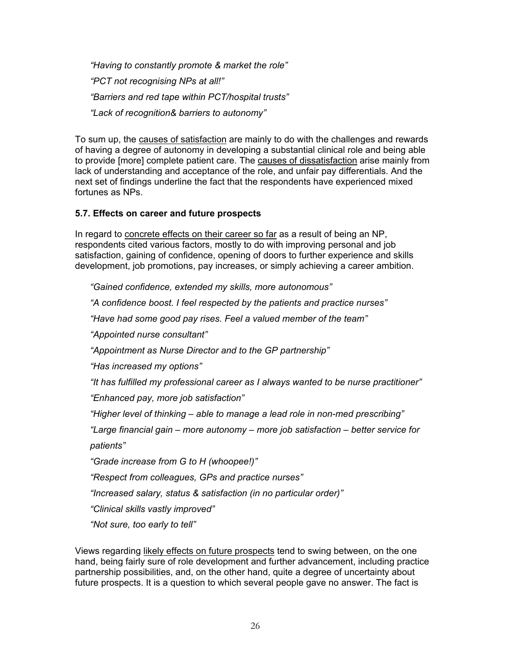*"Having to constantly promote & market the role" "PCT not recognising NPs at all!" "Barriers and red tape within PCT/hospital trusts" "Lack of recognition& barriers to autonomy"* 

To sum up, the causes of satisfaction are mainly to do with the challenges and rewards of having a degree of autonomy in developing a substantial clinical role and being able to provide [more] complete patient care. The causes of dissatisfaction arise mainly from lack of understanding and acceptance of the role, and unfair pay differentials. And the next set of findings underline the fact that the respondents have experienced mixed fortunes as NPs.

## **5.7. Effects on career and future prospects**

In regard to concrete effects on their career so far as a result of being an NP, respondents cited various factors, mostly to do with improving personal and job satisfaction, gaining of confidence, opening of doors to further experience and skills development, job promotions, pay increases, or simply achieving a career ambition.

*"Gained confidence, extended my skills, more autonomous"* 

*"A confidence boost. I feel respected by the patients and practice nurses"* 

*"Have had some good pay rises. Feel a valued member of the team"* 

*"Appointed nurse consultant"* 

*"Appointment as Nurse Director and to the GP partnership"* 

*"Has increased my options"* 

*"It has fulfilled my professional career as I always wanted to be nurse practitioner"* 

*"Enhanced pay, more job satisfaction"* 

*"Higher level of thinking – able to manage a lead role in non-med prescribing"* 

*"Large financial gain – more autonomy – more job satisfaction – better service for patients"* 

*"Grade increase from G to H (whoopee!)"* 

*"Respect from colleagues, GPs and practice nurses"* 

*"Increased salary, status & satisfaction (in no particular order)"* 

*"Clinical skills vastly improved"* 

*"Not sure, too early to tell"* 

Views regarding likely effects on future prospects tend to swing between, on the one hand, being fairly sure of role development and further advancement, including practice partnership possibilities, and, on the other hand, quite a degree of uncertainty about future prospects. It is a question to which several people gave no answer. The fact is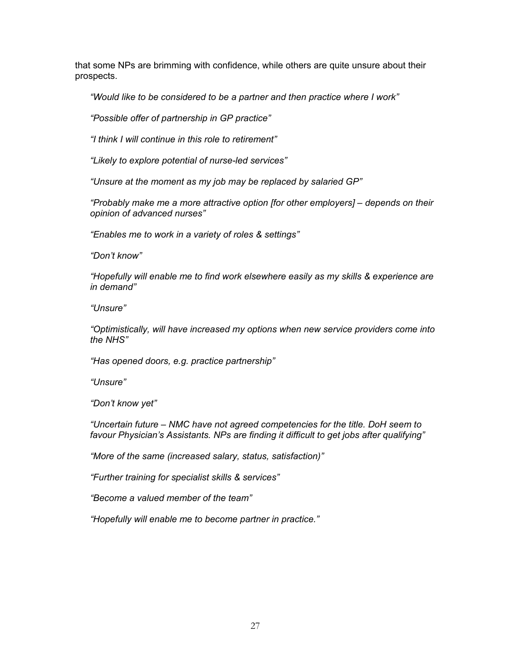that some NPs are brimming with confidence, while others are quite unsure about their prospects.

*"Would like to be considered to be a partner and then practice where I work"* 

*"Possible offer of partnership in GP practice"* 

*"I think I will continue in this role to retirement"* 

*"Likely to explore potential of nurse-led services"* 

*"Unsure at the moment as my job may be replaced by salaried GP"* 

*"Probably make me a more attractive option [for other employers] – depends on their opinion of advanced nurses"* 

*"Enables me to work in a variety of roles & settings"* 

*"Don't know"* 

*"Hopefully will enable me to find work elsewhere easily as my skills & experience are in demand"* 

*"Unsure"* 

*"Optimistically, will have increased my options when new service providers come into the NHS"* 

*"Has opened doors, e.g. practice partnership"* 

*"Unsure"* 

*"Don't know yet"* 

*"Uncertain future – NMC have not agreed competencies for the title. DoH seem to favour Physician's Assistants. NPs are finding it difficult to get jobs after qualifying"* 

*"More of the same (increased salary, status, satisfaction)"* 

*"Further training for specialist skills & services"* 

*"Become a valued member of the team"* 

*"Hopefully will enable me to become partner in practice."*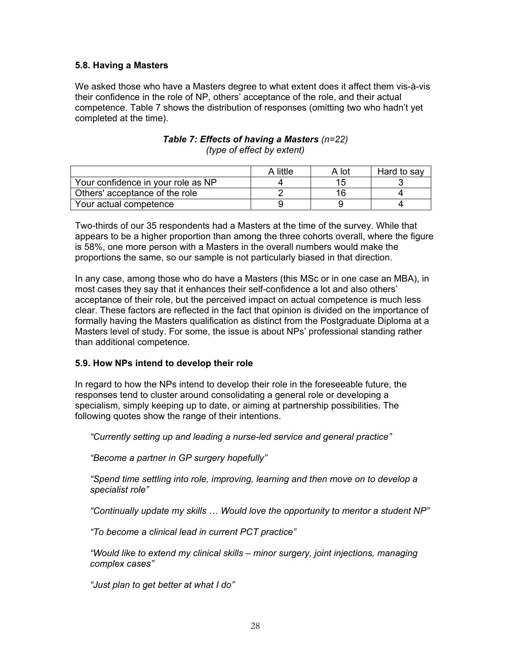## **5.8. Having a Masters**

We asked those who have a Masters degree to what extent does it affect them vis-à-vis their confidence in the role of NP, others' acceptance of the role, and their actual competence. Table 7 shows the distribution of responses (omitting two who hadn't yet completed at the time).

|                                    | A little | A lot | Hard to say |
|------------------------------------|----------|-------|-------------|
| Your confidence in your role as NP |          |       |             |
| Others' acceptance of the role     |          | 16    |             |
| Your actual competence             |          |       |             |

#### *Table 7: Effects of having a Masters (n=22) (type of effect by extent)*

Two-thirds of our 35 respondents had a Masters at the time of the survey. While that appears to be a higher proportion than among the three cohorts overall, where the figure is 58%, one more person with a Masters in the overall numbers would make the proportions the same, so our sample is not particularly biased in that direction.

In any case, among those who do have a Masters (this MSc or in one case an MBA), in most cases they say that it enhances their self-confidence a lot and also others' acceptance of their role, but the perceived impact on actual competence is much less clear. These factors are reflected in the fact that opinion is divided on the importance of formally having the Masters qualification as distinct from the Postgraduate Diploma at a Masters level of study. For some, the issue is about NPs' professional standing rather than additional competence.

#### **5.9. How NPs intend to develop their role**

In regard to how the NPs intend to develop their role in the foreseeable future, the responses tend to cluster around consolidating a general role or developing a specialism, simply keeping up to date, or aiming at partnership possibilities. The following quotes show the range of their intentions.

*"Currently setting up and leading a nurse-led service and general practice"* 

*"Become a partner in GP surgery hopefully"* 

*"Spend time settling into role, improving, learning and then move on to develop a specialist role"* 

*"Continually update my skills … Would love the opportunity to mentor a student NP"* 

*"To become a clinical lead in current PCT practice"* 

*"Would like to extend my clinical skills – minor surgery, joint injections, managing complex cases"* 

*"Just plan to get better at what I do"*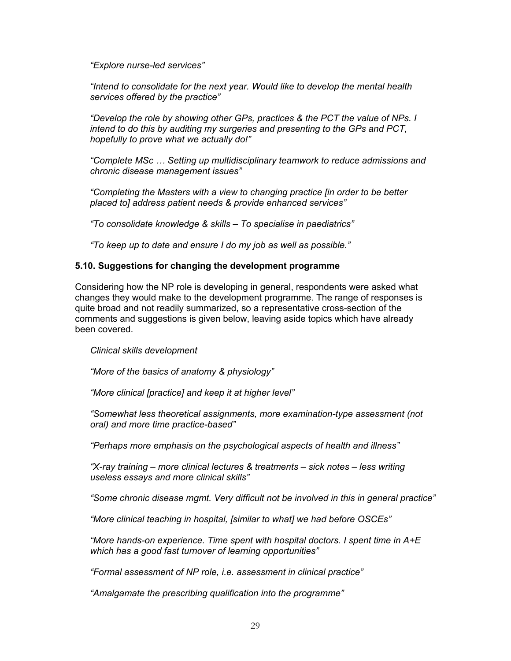*"Explore nurse-led services"* 

*"Intend to consolidate for the next year. Would like to develop the mental health services offered by the practice"* 

*"Develop the role by showing other GPs, practices & the PCT the value of NPs. I intend to do this by auditing my surgeries and presenting to the GPs and PCT, hopefully to prove what we actually do!"* 

*"Complete MSc … Setting up multidisciplinary teamwork to reduce admissions and chronic disease management issues"* 

*"Completing the Masters with a view to changing practice [in order to be better placed to] address patient needs & provide enhanced services"* 

*"To consolidate knowledge & skills – To specialise in paediatrics"* 

*"To keep up to date and ensure I do my job as well as possible."* 

#### **5.10. Suggestions for changing the development programme**

Considering how the NP role is developing in general, respondents were asked what changes they would make to the development programme. The range of responses is quite broad and not readily summarized, so a representative cross-section of the comments and suggestions is given below, leaving aside topics which have already been covered.

#### *Clinical skills development*

*"More of the basics of anatomy & physiology"* 

*"More clinical [practice] and keep it at higher level"* 

*"Somewhat less theoretical assignments, more examination-type assessment (not oral) and more time practice-based"* 

*"Perhaps more emphasis on the psychological aspects of health and illness"* 

*"X-ray training – more clinical lectures & treatments – sick notes – less writing useless essays and more clinical skills"* 

*"Some chronic disease mgmt. Very difficult not be involved in this in general practice"* 

*"More clinical teaching in hospital, [similar to what] we had before OSCEs"* 

*"More hands-on experience. Time spent with hospital doctors. I spent time in A+E which has a good fast turnover of learning opportunities"* 

*"Formal assessment of NP role, i.e. assessment in clinical practice"* 

*"Amalgamate the prescribing qualification into the programme"*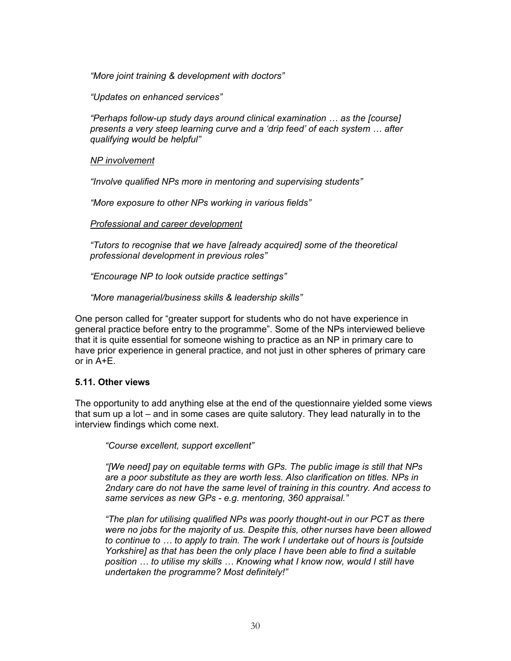*"More joint training & development with doctors"* 

*"Updates on enhanced services"* 

*"Perhaps follow-up study days around clinical examination … as the [course] presents a very steep learning curve and a 'drip feed' of each system … after qualifying would be helpful"* 

*NP involvement*

*"Involve qualified NPs more in mentoring and supervising students"* 

*"More exposure to other NPs working in various fields"* 

#### *Professional and career development*

*"Tutors to recognise that we have [already acquired] some of the theoretical professional development in previous roles"* 

*"Encourage NP to look outside practice settings"* 

*"More managerial/business skills & leadership skills"* 

One person called for "greater support for students who do not have experience in general practice before entry to the programme". Some of the NPs interviewed believe that it is quite essential for someone wishing to practice as an NP in primary care to have prior experience in general practice, and not just in other spheres of primary care or in A+E.

## **5.11. Other views**

The opportunity to add anything else at the end of the questionnaire yielded some views that sum up a lot – and in some cases are quite salutory. They lead naturally in to the interview findings which come next.

*"Course excellent, support excellent"* 

*"[We need] pay on equitable terms with GPs. The public image is still that NPs are a poor substitute as they are worth less. Also clarification on titles. NPs in 2ndary care do not have the same level of training in this country. And access to same services as new GPs - e.g. mentoring, 360 appraisal."* 

*"The plan for utilising qualified NPs was poorly thought-out in our PCT as there were no jobs for the majority of us. Despite this, other nurses have been allowed to continue to … to apply to train. The work I undertake out of hours is [outside Yorkshire] as that has been the only place I have been able to find a suitable position … to utilise my skills … Knowing what I know now, would I still have undertaken the programme? Most definitely!"*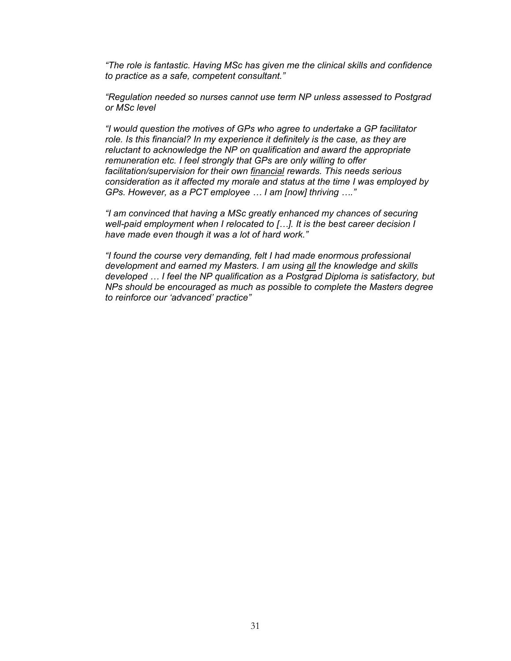*"The role is fantastic. Having MSc has given me the clinical skills and confidence to practice as a safe, competent consultant."* 

*"Regulation needed so nurses cannot use term NP unless assessed to Postgrad or MSc level* 

*"I would question the motives of GPs who agree to undertake a GP facilitator*  role. Is this financial? In my experience it definitely is the case, as they are *reluctant to acknowledge the NP on qualification and award the appropriate remuneration etc. I feel strongly that GPs are only willing to offer facilitation/supervision for their own financial rewards. This needs serious consideration as it affected my morale and status at the time I was employed by GPs. However, as a PCT employee … I am [now] thriving …."* 

*"I am convinced that having a MSc greatly enhanced my chances of securing well-paid employment when I relocated to […]. It is the best career decision I have made even though it was a lot of hard work."* 

*"I found the course very demanding, felt I had made enormous professional development and earned my Masters. I am using all the knowledge and skills developed … I feel the NP qualification as a Postgrad Diploma is satisfactory, but NPs should be encouraged as much as possible to complete the Masters degree to reinforce our 'advanced' practice"*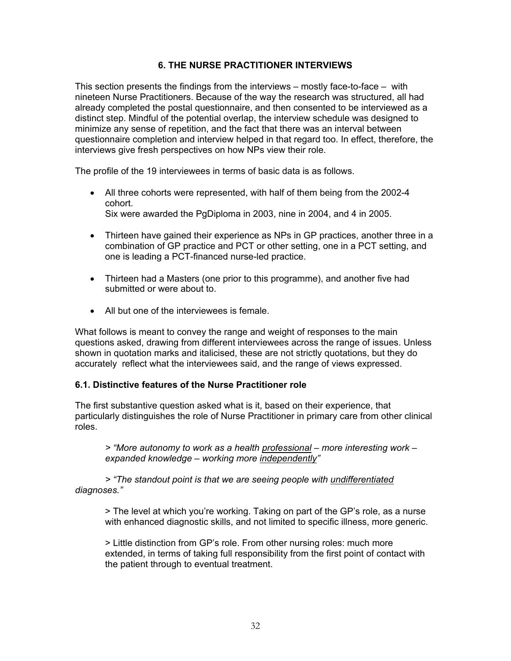## **6. THE NURSE PRACTITIONER INTERVIEWS**

This section presents the findings from the interviews – mostly face-to-face – with nineteen Nurse Practitioners. Because of the way the research was structured, all had already completed the postal questionnaire, and then consented to be interviewed as a distinct step. Mindful of the potential overlap, the interview schedule was designed to minimize any sense of repetition, and the fact that there was an interval between questionnaire completion and interview helped in that regard too. In effect, therefore, the interviews give fresh perspectives on how NPs view their role.

The profile of the 19 interviewees in terms of basic data is as follows.

- All three cohorts were represented, with half of them being from the 2002-4 cohort. Six were awarded the PgDiploma in 2003, nine in 2004, and 4 in 2005.
- Thirteen have gained their experience as NPs in GP practices, another three in a combination of GP practice and PCT or other setting, one in a PCT setting, and one is leading a PCT-financed nurse-led practice.
- Thirteen had a Masters (one prior to this programme), and another five had submitted or were about to.
- All but one of the interviewees is female.

What follows is meant to convey the range and weight of responses to the main questions asked, drawing from different interviewees across the range of issues. Unless shown in quotation marks and italicised, these are not strictly quotations, but they do accurately reflect what the interviewees said, and the range of views expressed.

## **6.1. Distinctive features of the Nurse Practitioner role**

The first substantive question asked what is it, based on their experience, that particularly distinguishes the role of Nurse Practitioner in primary care from other clinical roles.

*> "More autonomy to work as a health professional – more interesting work – expanded knowledge – working more independently"* 

*> "The standout point is that we are seeing people with undifferentiated diagnoses."* 

> The level at which you're working. Taking on part of the GP's role, as a nurse with enhanced diagnostic skills, and not limited to specific illness, more generic.

> Little distinction from GP's role. From other nursing roles: much more extended, in terms of taking full responsibility from the first point of contact with the patient through to eventual treatment.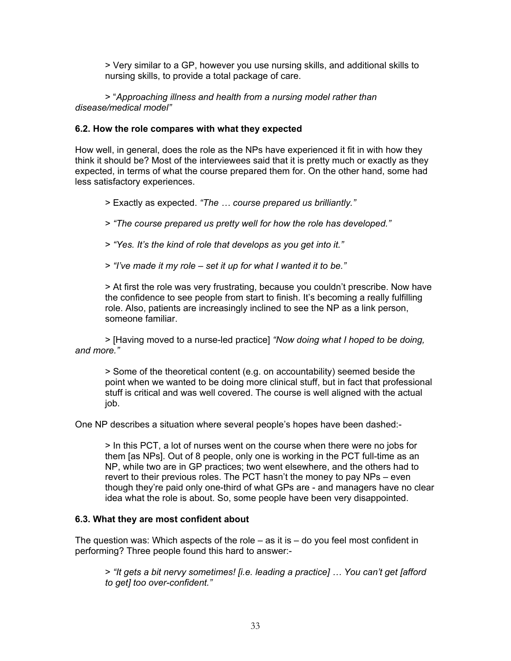> Very similar to a GP, however you use nursing skills, and additional skills to nursing skills, to provide a total package of care.

> "*Approaching illness and health from a nursing model rather than disease/medical model"* 

#### **6.2. How the role compares with what they expected**

How well, in general, does the role as the NPs have experienced it fit in with how they think it should be? Most of the interviewees said that it is pretty much or exactly as they expected, in terms of what the course prepared them for. On the other hand, some had less satisfactory experiences.

> Exactly as expected. *"The … course prepared us brilliantly."* 

> *"The course prepared us pretty well for how the role has developed."* 

> *"Yes. It's the kind of role that develops as you get into it."* 

> *"I've made it my role – set it up for what I wanted it to be."* 

> At first the role was very frustrating, because you couldn't prescribe. Now have the confidence to see people from start to finish. It's becoming a really fulfilling role. Also, patients are increasingly inclined to see the NP as a link person, someone familiar.

> [Having moved to a nurse-led practice] *"Now doing what I hoped to be doing, and more."* 

> Some of the theoretical content (e.g. on accountability) seemed beside the point when we wanted to be doing more clinical stuff, but in fact that professional stuff is critical and was well covered. The course is well aligned with the actual job.

One NP describes a situation where several people's hopes have been dashed:-

> In this PCT, a lot of nurses went on the course when there were no jobs for them [as NPs]. Out of 8 people, only one is working in the PCT full-time as an NP, while two are in GP practices; two went elsewhere, and the others had to revert to their previous roles. The PCT hasn't the money to pay NPs – even though they're paid only one-third of what GPs are - and managers have no clear idea what the role is about. So, some people have been very disappointed.

#### **6.3. What they are most confident about**

The question was: Which aspects of the role – as it is – do you feel most confident in performing? Three people found this hard to answer:-

> *"It gets a bit nervy sometimes! [i.e. leading a practice] … You can't get [afford to get] too over-confident."*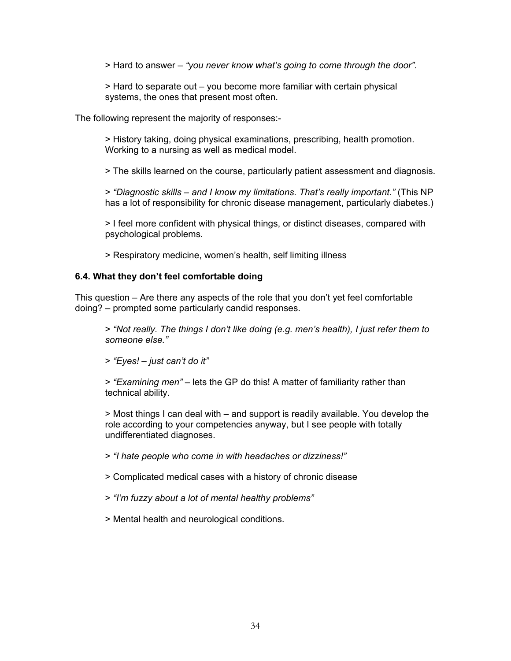> Hard to answer – *"you never know what's going to come through the door".* 

> Hard to separate out – you become more familiar with certain physical systems, the ones that present most often.

The following represent the majority of responses:-

> History taking, doing physical examinations, prescribing, health promotion. Working to a nursing as well as medical model.

> The skills learned on the course, particularly patient assessment and diagnosis.

> *"Diagnostic skills – and I know my limitations. That's really important."* (This NP has a lot of responsibility for chronic disease management, particularly diabetes.)

> I feel more confident with physical things, or distinct diseases, compared with psychological problems.

> Respiratory medicine, women's health, self limiting illness

#### **6.4. What they don't feel comfortable doing**

This question *–* Are there any aspects of the role that you don't yet feel comfortable doing? *–* prompted some particularly candid responses.

> *"Not really. The things I don't like doing (e.g. men's health), I just refer them to someone else."* 

> *"Eyes! – just can't do it"* 

> *"Examining men"* – lets the GP do this! A matter of familiarity rather than technical ability.

> Most things I can deal with – and support is readily available. You develop the role according to your competencies anyway, but I see people with totally undifferentiated diagnoses.

> *"I hate people who come in with headaches or dizziness!"* 

> Complicated medical cases with a history of chronic disease

> *"I'm fuzzy about a lot of mental healthy problems"* 

> Mental health and neurological conditions.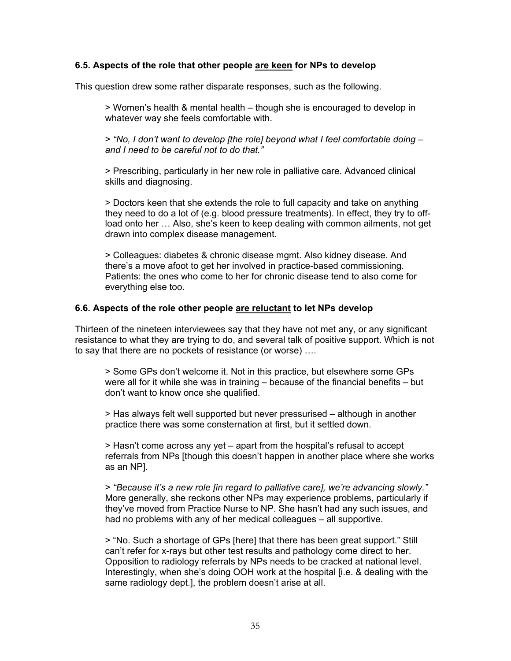#### **6.5. Aspects of the role that other people are keen for NPs to develop**

This question drew some rather disparate responses, such as the following.

> Women's health & mental health – though she is encouraged to develop in whatever way she feels comfortable with.

> *"No, I don't want to develop [the role] beyond what I feel comfortable doing – and I need to be careful not to do that."*

> Prescribing, particularly in her new role in palliative care. Advanced clinical skills and diagnosing.

> Doctors keen that she extends the role to full capacity and take on anything they need to do a lot of (e.g. blood pressure treatments). In effect, they try to offload onto her … Also, she's keen to keep dealing with common ailments, not get drawn into complex disease management.

> Colleagues: diabetes & chronic disease mgmt. Also kidney disease. And there's a move afoot to get her involved in practice-based commissioning. Patients: the ones who come to her for chronic disease tend to also come for everything else too.

#### **6.6. Aspects of the role other people are reluctant to let NPs develop**

Thirteen of the nineteen interviewees say that they have not met any, or any significant resistance to what they are trying to do, and several talk of positive support. Which is not to say that there are no pockets of resistance (or worse) ….

> Some GPs don't welcome it. Not in this practice, but elsewhere some GPs were all for it while she was in training – because of the financial benefits – but don't want to know once she qualified.

> Has always felt well supported but never pressurised – although in another practice there was some consternation at first, but it settled down.

> Hasn't come across any yet – apart from the hospital's refusal to accept referrals from NPs [though this doesn't happen in another place where she works as an NP].

> *"Because it's a new role [in regard to palliative care], we're advancing slowly."* More generally, she reckons other NPs may experience problems, particularly if they've moved from Practice Nurse to NP. She hasn't had any such issues, and had no problems with any of her medical colleagues – all supportive.

> "No. Such a shortage of GPs [here] that there has been great support." Still can't refer for x-rays but other test results and pathology come direct to her. Opposition to radiology referrals by NPs needs to be cracked at national level. Interestingly, when she's doing OOH work at the hospital [i.e. & dealing with the same radiology dept.], the problem doesn't arise at all.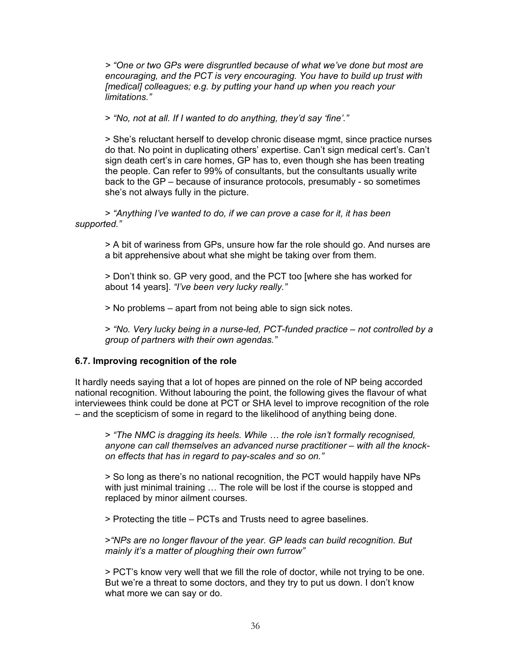*> "One or two GPs were disgruntled because of what we've done but most are encouraging, and the PCT is very encouraging. You have to build up trust with [medical] colleagues; e.g. by putting your hand up when you reach your limitations."* 

> *"No, not at all. If I wanted to do anything, they'd say 'fine'."* 

> She's reluctant herself to develop chronic disease mgmt, since practice nurses do that. No point in duplicating others' expertise. Can't sign medical cert's. Can't sign death cert's in care homes, GP has to, even though she has been treating the people. Can refer to 99% of consultants, but the consultants usually write back to the GP – because of insurance protocols, presumably - so sometimes she's not always fully in the picture.

> *"Anything I've wanted to do, if we can prove a case for it, it has been supported."* 

> A bit of wariness from GPs, unsure how far the role should go. And nurses are a bit apprehensive about what she might be taking over from them.

> Don't think so. GP very good, and the PCT too [where she has worked for about 14 years]. *"I've been very lucky really."* 

> No problems – apart from not being able to sign sick notes.

> *"No. Very lucky being in a nurse-led, PCT-funded practice – not controlled by a group of partners with their own agendas."* 

## **6.7. Improving recognition of the role**

It hardly needs saying that a lot of hopes are pinned on the role of NP being accorded national recognition. Without labouring the point, the following gives the flavour of what interviewees think could be done at PCT or SHA level to improve recognition of the role – and the scepticism of some in regard to the likelihood of anything being done.

> *"The NMC is dragging its heels. While … the role isn't formally recognised, anyone can call themselves an advanced nurse practitioner – with all the knockon effects that has in regard to pay-scales and so on."* 

> So long as there's no national recognition, the PCT would happily have NPs with just minimal training ... The role will be lost if the course is stopped and replaced by minor ailment courses.

> Protecting the title – PCTs and Trusts need to agree baselines.

>*"NPs are no longer flavour of the year. GP leads can build recognition. But mainly it's a matter of ploughing their own furrow"* 

> PCT's know very well that we fill the role of doctor, while not trying to be one. But we're a threat to some doctors, and they try to put us down. I don't know what more we can say or do.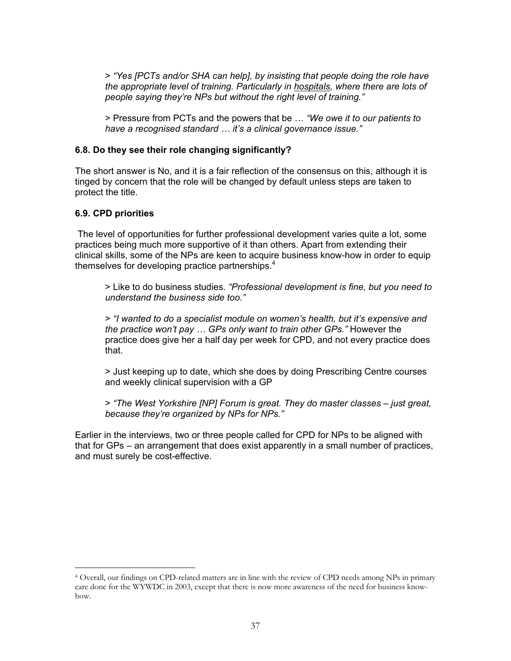> *"Yes [PCTs and/or SHA can help], by insisting that people doing the role have the appropriate level of training. Particularly in hospitals, where there are lots of people saying they're NPs but without the right level of training."* 

> Pressure from PCTs and the powers that be … *"We owe it to our patients to have a recognised standard … it's a clinical governance issue."* 

#### **6.8. Do they see their role changing significantly?**

The short answer is No, and it is a fair reflection of the consensus on this, although it is tinged by concern that the role will be changed by default unless steps are taken to protect the title.

#### **6.9. CPD priorities**

 $\overline{a}$ 

 The level of opportunities for further professional development varies quite a lot, some practices being much more supportive of it than others. Apart from extending their clinical skills, some of the NPs are keen to acquire business know-how in order to equip themselves for developing practice partnerships. $4$ 

> Like to do business studies. *"Professional development is fine, but you need to understand the business side too."* 

> *"I wanted to do a specialist module on women's health, but it's expensive and the practice won't pay … GPs only want to train other GPs."* However the practice does give her a half day per week for CPD, and not every practice does that.

> Just keeping up to date, which she does by doing Prescribing Centre courses and weekly clinical supervision with a GP

> *"The West Yorkshire [NP] Forum is great. They do master classes – just great, because they're organized by NPs for NPs."* 

Earlier in the interviews, two or three people called for CPD for NPs to be aligned with that for GPs – an arrangement that does exist apparently in a small number of practices, and must surely be cost-effective.

<sup>4</sup> Overall, our findings on CPD-related matters are in line with the review of CPD needs among NPs in primary care done for the WYWDC in 2003, except that there is now more awareness of the need for business knowhow.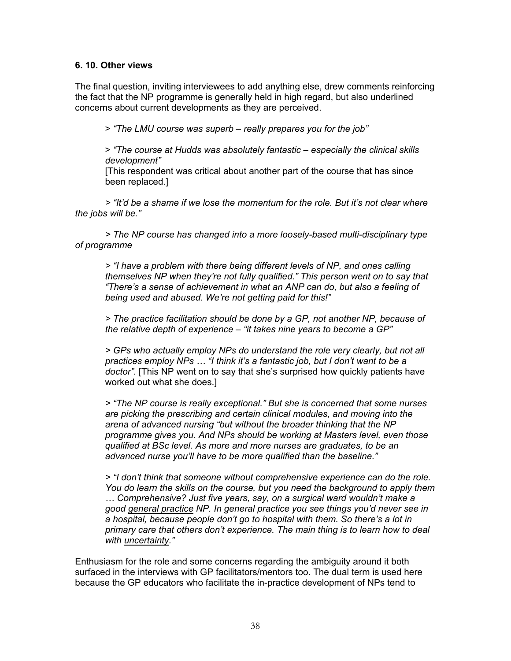## **6. 10. Other views**

The final question, inviting interviewees to add anything else, drew comments reinforcing the fact that the NP programme is generally held in high regard, but also underlined concerns about current developments as they are perceived.

> *"The LMU course was superb – really prepares you for the job"* 

> *"The course at Hudds was absolutely fantastic – especially the clinical skills development"* 

[This respondent was critical about another part of the course that has since been replaced.]

*> "It'd be a shame if we lose the momentum for the role. But it's not clear where the jobs will be."* 

 *> The NP course has changed into a more loosely-based multi-disciplinary type of programme* 

*> "I have a problem with there being different levels of NP, and ones calling themselves NP when they're not fully qualified." This person went on to say that "There's a sense of achievement in what an ANP can do, but also a feeling of being used and abused. We're not getting paid for this!"* 

*> The practice facilitation should be done by a GP, not another NP, because of the relative depth of experience – "it takes nine years to become a GP"* 

*> GPs who actually employ NPs do understand the role very clearly, but not all practices employ NPs … "I think it's a fantastic job, but I don't want to be a doctor".* [This NP went on to say that she's surprised how quickly patients have worked out what she does.]

*> "The NP course is really exceptional." But she is concerned that some nurses are picking the prescribing and certain clinical modules, and moving into the arena of advanced nursing "but without the broader thinking that the NP programme gives you. And NPs should be working at Masters level, even those qualified at BSc level. As more and more nurses are graduates, to be an advanced nurse you'll have to be more qualified than the baseline."* 

*> "I don't think that someone without comprehensive experience can do the role. You do learn the skills on the course, but you need the background to apply them … Comprehensive? Just five years, say, on a surgical ward wouldn't make a good general practice NP. In general practice you see things you'd never see in a hospital, because people don't go to hospital with them. So there's a lot in primary care that others don't experience. The main thing is to learn how to deal with uncertainty."* 

Enthusiasm for the role and some concerns regarding the ambiguity around it both surfaced in the interviews with GP facilitators/mentors too. The dual term is used here because the GP educators who facilitate the in-practice development of NPs tend to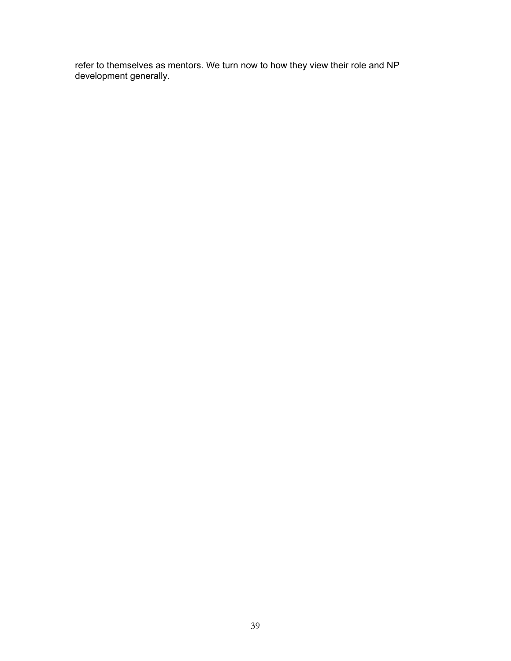refer to themselves as mentors. We turn now to how they view their role and NP development generally.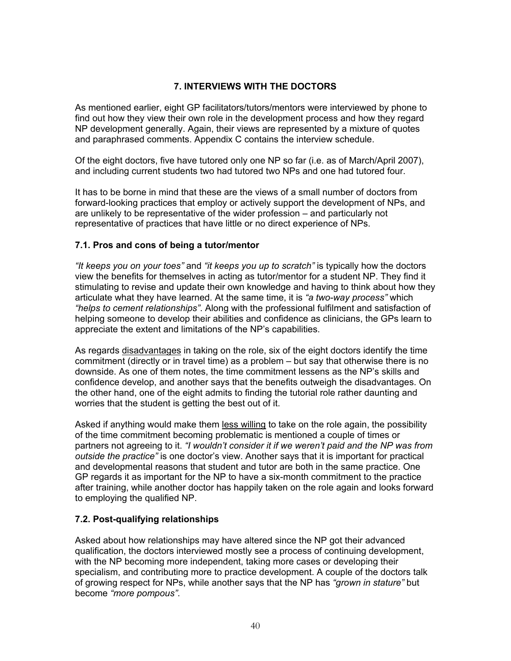## **7. INTERVIEWS WITH THE DOCTORS**

As mentioned earlier, eight GP facilitators/tutors/mentors were interviewed by phone to find out how they view their own role in the development process and how they regard NP development generally. Again, their views are represented by a mixture of quotes and paraphrased comments. Appendix C contains the interview schedule.

Of the eight doctors, five have tutored only one NP so far (i.e. as of March/April 2007), and including current students two had tutored two NPs and one had tutored four.

It has to be borne in mind that these are the views of a small number of doctors from forward-looking practices that employ or actively support the development of NPs, and are unlikely to be representative of the wider profession – and particularly not representative of practices that have little or no direct experience of NPs.

## **7.1. Pros and cons of being a tutor/mentor**

*"It keeps you on your toes"* and *"it keeps you up to scratch"* is typically how the doctors view the benefits for themselves in acting as tutor/mentor for a student NP. They find it stimulating to revise and update their own knowledge and having to think about how they articulate what they have learned. At the same time, it is *"a two-way process"* which *"helps to cement relationships"*. Along with the professional fulfilment and satisfaction of helping someone to develop their abilities and confidence as clinicians, the GPs learn to appreciate the extent and limitations of the NP's capabilities.

As regards disadvantages in taking on the role, six of the eight doctors identify the time commitment (directly or in travel time) as a problem – but say that otherwise there is no downside. As one of them notes, the time commitment lessens as the NP's skills and confidence develop, and another says that the benefits outweigh the disadvantages. On the other hand, one of the eight admits to finding the tutorial role rather daunting and worries that the student is getting the best out of it.

Asked if anything would make them less willing to take on the role again, the possibility of the time commitment becoming problematic is mentioned a couple of times or partners not agreeing to it. *"I wouldn't consider it if we weren't paid and the NP was from outside the practice"* is one doctor's view. Another says that it is important for practical and developmental reasons that student and tutor are both in the same practice. One GP regards it as important for the NP to have a six-month commitment to the practice after training, while another doctor has happily taken on the role again and looks forward to employing the qualified NP.

## **7.2. Post-qualifying relationships**

Asked about how relationships may have altered since the NP got their advanced qualification, the doctors interviewed mostly see a process of continuing development, with the NP becoming more independent, taking more cases or developing their specialism, and contributing more to practice development. A couple of the doctors talk of growing respect for NPs, while another says that the NP has *"grown in stature"* but become *"more pompous"*.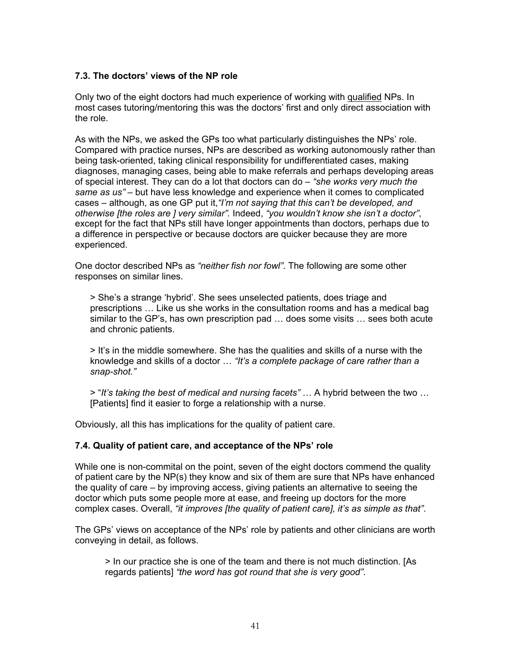## **7.3. The doctors' views of the NP role**

Only two of the eight doctors had much experience of working with qualified NPs. In most cases tutoring/mentoring this was the doctors' first and only direct association with the role.

As with the NPs, we asked the GPs too what particularly distinguishes the NPs' role. Compared with practice nurses, NPs are described as working autonomously rather than being task-oriented, taking clinical responsibility for undifferentiated cases, making diagnoses, managing cases, being able to make referrals and perhaps developing areas of special interest. They can do a lot that doctors can do – *"she works very much the same as us"* – but have less knowledge and experience when it comes to complicated cases – although, as one GP put it,*"I'm not saying that this can't be developed, and otherwise [the roles are ] very similar".* Indeed, *"you wouldn't know she isn't a doctor"*, except for the fact that NPs still have longer appointments than doctors, perhaps due to a difference in perspective or because doctors are quicker because they are more experienced.

One doctor described NPs as *"neither fish nor fowl"*. The following are some other responses on similar lines.

> She's a strange 'hybrid'. She sees unselected patients, does triage and prescriptions … Like us she works in the consultation rooms and has a medical bag similar to the GP's, has own prescription pad … does some visits … sees both acute and chronic patients.

> It's in the middle somewhere. She has the qualities and skills of a nurse with the knowledge and skills of a doctor … *"It's a complete package of care rather than a snap-shot."* 

> "*It's taking the best of medical and nursing facets"* … A hybrid between the two … [Patients] find it easier to forge a relationship with a nurse.

Obviously, all this has implications for the quality of patient care.

#### **7.4. Quality of patient care, and acceptance of the NPs' role**

While one is non-commital on the point, seven of the eight doctors commend the quality of patient care by the NP(s) they know and six of them are sure that NPs have enhanced the quality of care – by improving access, giving patients an alternative to seeing the doctor which puts some people more at ease, and freeing up doctors for the more complex cases. Overall, *"it improves [the quality of patient care], it's as simple as that"*.

The GPs' views on acceptance of the NPs' role by patients and other clinicians are worth conveying in detail, as follows.

> In our practice she is one of the team and there is not much distinction. [As regards patients] *"the word has got round that she is very good"*.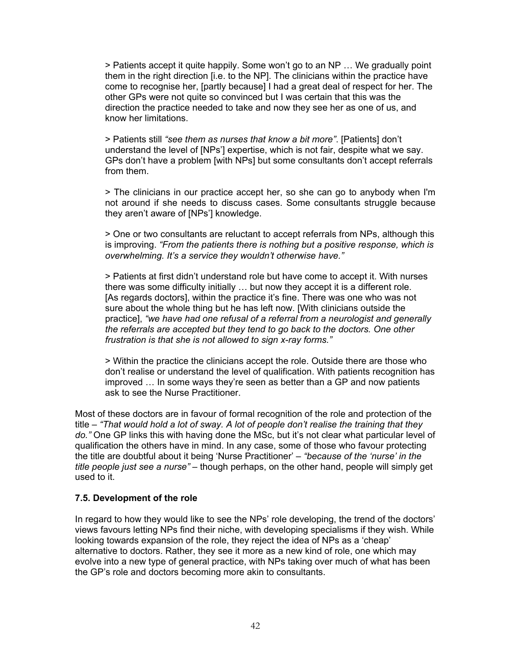> Patients accept it quite happily. Some won't go to an NP … We gradually point them in the right direction [i.e. to the NP]. The clinicians within the practice have come to recognise her, [partly because] I had a great deal of respect for her. The other GPs were not quite so convinced but I was certain that this was the direction the practice needed to take and now they see her as one of us, and know her limitations.

> Patients still *"see them as nurses that know a bit more"*. [Patients] don't understand the level of [NPs'] expertise, which is not fair, despite what we say. GPs don't have a problem [with NPs] but some consultants don't accept referrals from them.

> The clinicians in our practice accept her, so she can go to anybody when I'm not around if she needs to discuss cases. Some consultants struggle because they aren't aware of [NPs'] knowledge.

> One or two consultants are reluctant to accept referrals from NPs, although this is improving. *"From the patients there is nothing but a positive response, which is overwhelming. It's a service they wouldn't otherwise have."* 

> Patients at first didn't understand role but have come to accept it. With nurses there was some difficulty initially … but now they accept it is a different role. [As regards doctors], within the practice it's fine. There was one who was not sure about the whole thing but he has left now. [With clinicians outside the practice], *"we have had one refusal of a referral from a neurologist and generally the referrals are accepted but they tend to go back to the doctors. One other frustration is that she is not allowed to sign x-ray forms."* 

> Within the practice the clinicians accept the role. Outside there are those who don't realise or understand the level of qualification. With patients recognition has improved … In some ways they're seen as better than a GP and now patients ask to see the Nurse Practitioner.

Most of these doctors are in favour of formal recognition of the role and protection of the title – *"That would hold a lot of sway. A lot of people don't realise the training that they do."* One GP links this with having done the MSc, but it's not clear what particular level of qualification the others have in mind. In any case, some of those who favour protecting the title are doubtful about it being 'Nurse Practitioner' – *"because of the 'nurse' in the title people just see a nurse"* – though perhaps, on the other hand, people will simply get used to it.

## **7.5. Development of the role**

In regard to how they would like to see the NPs' role developing, the trend of the doctors' views favours letting NPs find their niche, with developing specialisms if they wish. While looking towards expansion of the role, they reject the idea of NPs as a 'cheap' alternative to doctors. Rather, they see it more as a new kind of role, one which may evolve into a new type of general practice, with NPs taking over much of what has been the GP's role and doctors becoming more akin to consultants.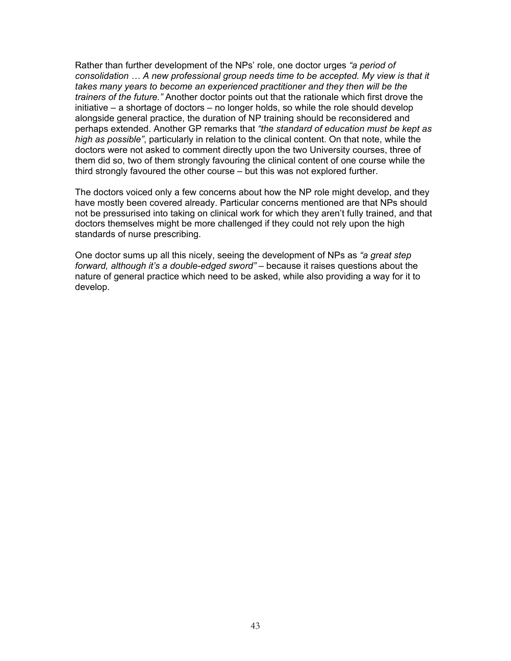Rather than further development of the NPs' role, one doctor urges *"a period of consolidation … A new professional group needs time to be accepted. My view is that it takes many years to become an experienced practitioner and they then will be the trainers of the future."* Another doctor points out that the rationale which first drove the initiative – a shortage of doctors – no longer holds, so while the role should develop alongside general practice, the duration of NP training should be reconsidered and perhaps extended. Another GP remarks that *"the standard of education must be kept as high as possible"*, particularly in relation to the clinical content. On that note, while the doctors were not asked to comment directly upon the two University courses, three of them did so, two of them strongly favouring the clinical content of one course while the third strongly favoured the other course – but this was not explored further.

The doctors voiced only a few concerns about how the NP role might develop, and they have mostly been covered already. Particular concerns mentioned are that NPs should not be pressurised into taking on clinical work for which they aren't fully trained, and that doctors themselves might be more challenged if they could not rely upon the high standards of nurse prescribing.

One doctor sums up all this nicely, seeing the development of NPs as *"a great step forward, although it's a double-edged sword"* – because it raises questions about the nature of general practice which need to be asked, while also providing a way for it to develop.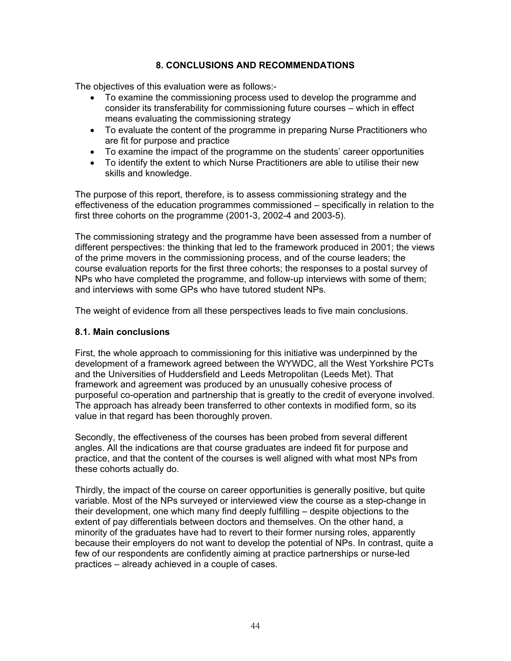## **8. CONCLUSIONS AND RECOMMENDATIONS**

The objectives of this evaluation were as follows:-

- To examine the commissioning process used to develop the programme and consider its transferability for commissioning future courses – which in effect means evaluating the commissioning strategy
- To evaluate the content of the programme in preparing Nurse Practitioners who are fit for purpose and practice
- To examine the impact of the programme on the students' career opportunities
- To identify the extent to which Nurse Practitioners are able to utilise their new skills and knowledge.

The purpose of this report, therefore, is to assess commissioning strategy and the effectiveness of the education programmes commissioned – specifically in relation to the first three cohorts on the programme (2001-3, 2002-4 and 2003-5).

The commissioning strategy and the programme have been assessed from a number of different perspectives: the thinking that led to the framework produced in 2001; the views of the prime movers in the commissioning process, and of the course leaders; the course evaluation reports for the first three cohorts; the responses to a postal survey of NPs who have completed the programme, and follow-up interviews with some of them; and interviews with some GPs who have tutored student NPs.

The weight of evidence from all these perspectives leads to five main conclusions.

#### **8.1. Main conclusions**

First, the whole approach to commissioning for this initiative was underpinned by the development of a framework agreed between the WYWDC, all the West Yorkshire PCTs and the Universities of Huddersfield and Leeds Metropolitan (Leeds Met). That framework and agreement was produced by an unusually cohesive process of purposeful co-operation and partnership that is greatly to the credit of everyone involved. The approach has already been transferred to other contexts in modified form, so its value in that regard has been thoroughly proven.

Secondly, the effectiveness of the courses has been probed from several different angles. All the indications are that course graduates are indeed fit for purpose and practice, and that the content of the courses is well aligned with what most NPs from these cohorts actually do.

Thirdly, the impact of the course on career opportunities is generally positive, but quite variable. Most of the NPs surveyed or interviewed view the course as a step-change in their development, one which many find deeply fulfilling – despite objections to the extent of pay differentials between doctors and themselves. On the other hand, a minority of the graduates have had to revert to their former nursing roles, apparently because their employers do not want to develop the potential of NPs. In contrast, quite a few of our respondents are confidently aiming at practice partnerships or nurse-led practices – already achieved in a couple of cases.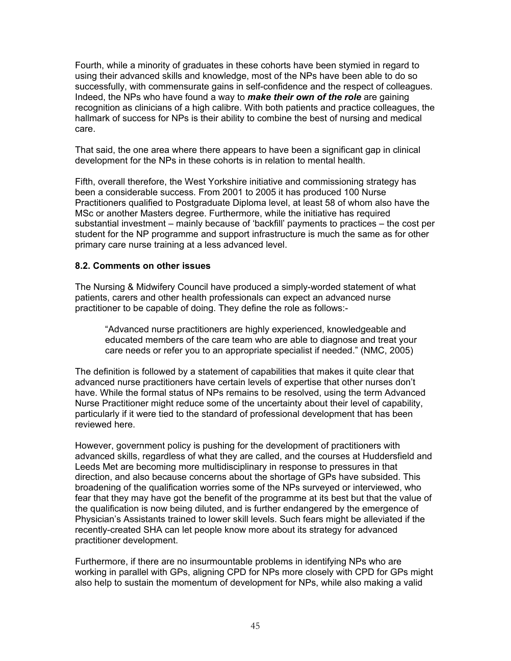Fourth, while a minority of graduates in these cohorts have been stymied in regard to using their advanced skills and knowledge, most of the NPs have been able to do so successfully, with commensurate gains in self-confidence and the respect of colleagues. Indeed, the NPs who have found a way to *make their own of the role* are gaining recognition as clinicians of a high calibre. With both patients and practice colleagues, the hallmark of success for NPs is their ability to combine the best of nursing and medical care.

That said, the one area where there appears to have been a significant gap in clinical development for the NPs in these cohorts is in relation to mental health.

Fifth, overall therefore, the West Yorkshire initiative and commissioning strategy has been a considerable success. From 2001 to 2005 it has produced 100 Nurse Practitioners qualified to Postgraduate Diploma level, at least 58 of whom also have the MSc or another Masters degree. Furthermore, while the initiative has required substantial investment – mainly because of 'backfill' payments to practices – the cost per student for the NP programme and support infrastructure is much the same as for other primary care nurse training at a less advanced level.

## **8.2. Comments on other issues**

The Nursing & Midwifery Council have produced a simply-worded statement of what patients, carers and other health professionals can expect an advanced nurse practitioner to be capable of doing. They define the role as follows:-

"Advanced nurse practitioners are highly experienced, knowledgeable and educated members of the care team who are able to diagnose and treat your care needs or refer you to an appropriate specialist if needed." (NMC, 2005)

The definition is followed by a statement of capabilities that makes it quite clear that advanced nurse practitioners have certain levels of expertise that other nurses don't have. While the formal status of NPs remains to be resolved, using the term Advanced Nurse Practitioner might reduce some of the uncertainty about their level of capability, particularly if it were tied to the standard of professional development that has been reviewed here.

However, government policy is pushing for the development of practitioners with advanced skills, regardless of what they are called, and the courses at Huddersfield and Leeds Met are becoming more multidisciplinary in response to pressures in that direction, and also because concerns about the shortage of GPs have subsided. This broadening of the qualification worries some of the NPs surveyed or interviewed, who fear that they may have got the benefit of the programme at its best but that the value of the qualification is now being diluted, and is further endangered by the emergence of Physician's Assistants trained to lower skill levels. Such fears might be alleviated if the recently-created SHA can let people know more about its strategy for advanced practitioner development.

Furthermore, if there are no insurmountable problems in identifying NPs who are working in parallel with GPs, aligning CPD for NPs more closely with CPD for GPs might also help to sustain the momentum of development for NPs, while also making a valid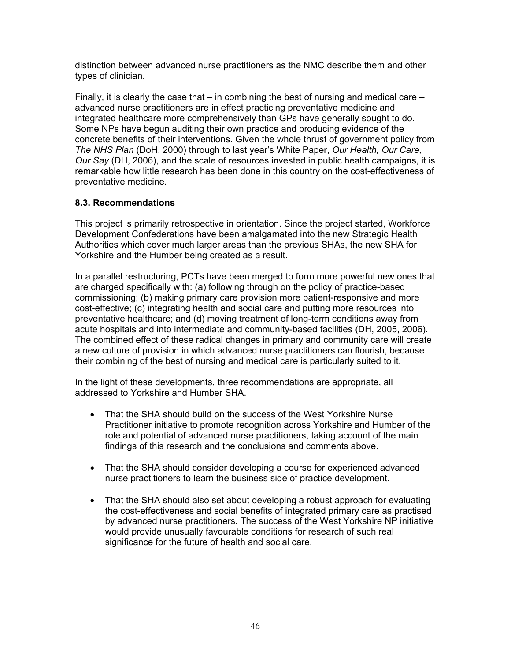distinction between advanced nurse practitioners as the NMC describe them and other types of clinician.

Finally, it is clearly the case that  $-$  in combining the best of nursing and medical care  $$ advanced nurse practitioners are in effect practicing preventative medicine and integrated healthcare more comprehensively than GPs have generally sought to do. Some NPs have begun auditing their own practice and producing evidence of the concrete benefits of their interventions. Given the whole thrust of government policy from *The NHS Plan* (DoH, 2000) through to last year's White Paper, *Our Health, Our Care, Our Say* (DH, 2006), and the scale of resources invested in public health campaigns, it is remarkable how little research has been done in this country on the cost-effectiveness of preventative medicine.

## **8.3. Recommendations**

This project is primarily retrospective in orientation. Since the project started, Workforce Development Confederations have been amalgamated into the new Strategic Health Authorities which cover much larger areas than the previous SHAs, the new SHA for Yorkshire and the Humber being created as a result.

In a parallel restructuring, PCTs have been merged to form more powerful new ones that are charged specifically with: (a) following through on the policy of practice-based commissioning; (b) making primary care provision more patient-responsive and more cost-effective; (c) integrating health and social care and putting more resources into preventative healthcare; and (d) moving treatment of long-term conditions away from acute hospitals and into intermediate and community-based facilities (DH, 2005, 2006). The combined effect of these radical changes in primary and community care will create a new culture of provision in which advanced nurse practitioners can flourish, because their combining of the best of nursing and medical care is particularly suited to it.

In the light of these developments, three recommendations are appropriate, all addressed to Yorkshire and Humber SHA.

- That the SHA should build on the success of the West Yorkshire Nurse Practitioner initiative to promote recognition across Yorkshire and Humber of the role and potential of advanced nurse practitioners, taking account of the main findings of this research and the conclusions and comments above.
- That the SHA should consider developing a course for experienced advanced nurse practitioners to learn the business side of practice development.
- That the SHA should also set about developing a robust approach for evaluating the cost-effectiveness and social benefits of integrated primary care as practised by advanced nurse practitioners. The success of the West Yorkshire NP initiative would provide unusually favourable conditions for research of such real significance for the future of health and social care.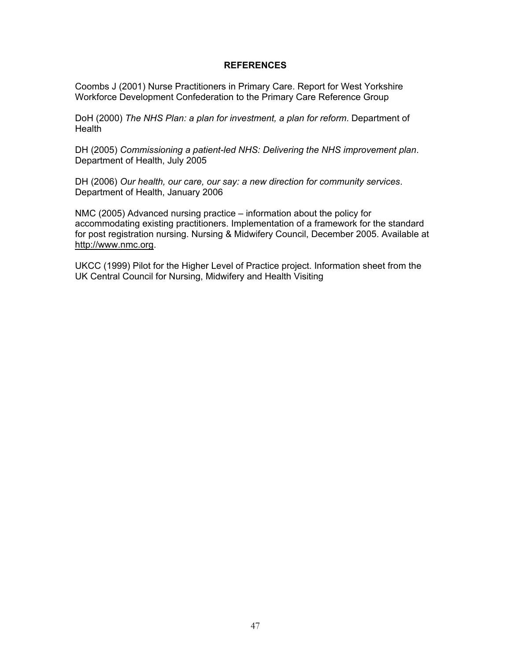#### **REFERENCES**

Coombs J (2001) Nurse Practitioners in Primary Care. Report for West Yorkshire Workforce Development Confederation to the Primary Care Reference Group

DoH (2000) *The NHS Plan: a plan for investment, a plan for reform*. Department of **Health** 

DH (2005) *Commissioning a patient-led NHS: Delivering the NHS improvement plan*. Department of Health, July 2005

DH (2006) *Our health, our care, our say: a new direction for community services*. Department of Health, January 2006

NMC (2005) Advanced nursing practice – information about the policy for accommodating existing practitioners. Implementation of a framework for the standard for post registration nursing. Nursing & Midwifery Council, December 2005. Available at http://www.nmc.org.

UKCC (1999) Pilot for the Higher Level of Practice project. Information sheet from the UK Central Council for Nursing, Midwifery and Health Visiting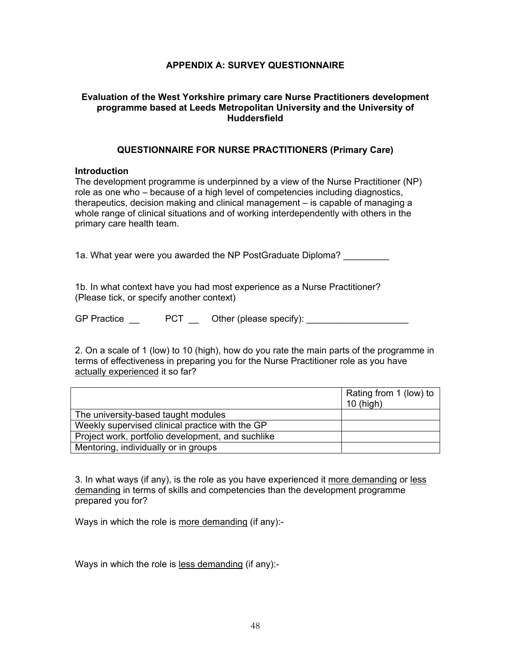## **APPENDIX A: SURVEY QUESTIONNAIRE**

## **Evaluation of the West Yorkshire primary care Nurse Practitioners development programme based at Leeds Metropolitan University and the University of Huddersfield**

#### **QUESTIONNAIRE FOR NURSE PRACTITIONERS (Primary Care)**

#### **Introduction**

The development programme is underpinned by a view of the Nurse Practitioner (NP) role as one who – because of a high level of competencies including diagnostics, therapeutics, decision making and clinical management – is capable of managing a whole range of clinical situations and of working interdependently with others in the primary care health team.

1a. What year were you awarded the NP PostGraduate Diploma?

1b. In what context have you had most experience as a Nurse Practitioner? (Please tick, or specify another context)

GP Practice \_\_ PCT \_ Other (please specify): \_\_\_\_\_\_\_\_\_\_\_\_\_\_\_\_\_\_\_\_\_\_\_\_\_\_\_\_\_\_\_\_\_\_\_

2. On a scale of 1 (low) to 10 (high), how do you rate the main parts of the programme in terms of effectiveness in preparing you for the Nurse Practitioner role as you have actually experienced it so far?

|                                                   | Rating from 1 (low) to |
|---------------------------------------------------|------------------------|
|                                                   | $10$ (high)            |
| The university-based taught modules               |                        |
| Weekly supervised clinical practice with the GP   |                        |
| Project work, portfolio development, and suchlike |                        |
| Mentoring, individually or in groups              |                        |

3. In what ways (if any), is the role as you have experienced it more demanding or less demanding in terms of skills and competencies than the development programme prepared you for?

Ways in which the role is more demanding (if any):-

Ways in which the role is less demanding (if any):-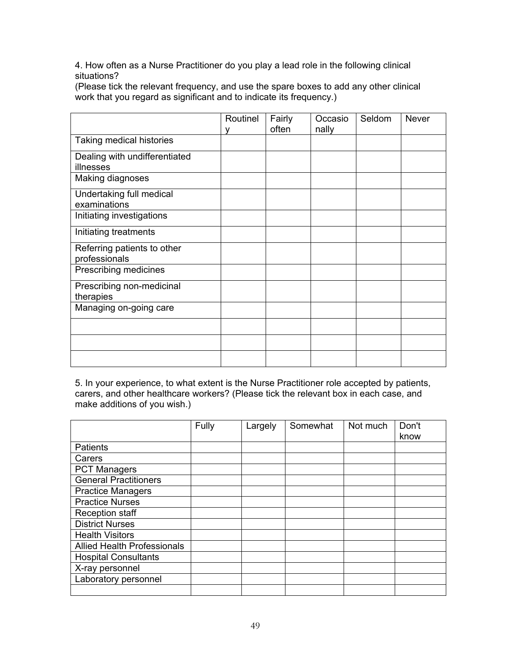4. How often as a Nurse Practitioner do you play a lead role in the following clinical situations?

(Please tick the relevant frequency, and use the spare boxes to add any other clinical work that you regard as significant and to indicate its frequency.)

|                                              | Routinel | Fairly<br>often | Occasio<br>nally | Seldom | <b>Never</b> |
|----------------------------------------------|----------|-----------------|------------------|--------|--------------|
| Taking medical histories                     |          |                 |                  |        |              |
| Dealing with undifferentiated<br>illnesses   |          |                 |                  |        |              |
| Making diagnoses                             |          |                 |                  |        |              |
| Undertaking full medical<br>examinations     |          |                 |                  |        |              |
| Initiating investigations                    |          |                 |                  |        |              |
| Initiating treatments                        |          |                 |                  |        |              |
| Referring patients to other<br>professionals |          |                 |                  |        |              |
| Prescribing medicines                        |          |                 |                  |        |              |
| Prescribing non-medicinal<br>therapies       |          |                 |                  |        |              |
| Managing on-going care                       |          |                 |                  |        |              |
|                                              |          |                 |                  |        |              |
|                                              |          |                 |                  |        |              |
|                                              |          |                 |                  |        |              |

5. In your experience, to what extent is the Nurse Practitioner role accepted by patients, carers, and other healthcare workers? (Please tick the relevant box in each case, and make additions of you wish.)

|                                    | Fully | Largely | Somewhat | Not much | Don't |
|------------------------------------|-------|---------|----------|----------|-------|
|                                    |       |         |          |          | know  |
| Patients                           |       |         |          |          |       |
| Carers                             |       |         |          |          |       |
| <b>PCT Managers</b>                |       |         |          |          |       |
| <b>General Practitioners</b>       |       |         |          |          |       |
| <b>Practice Managers</b>           |       |         |          |          |       |
| <b>Practice Nurses</b>             |       |         |          |          |       |
| <b>Reception staff</b>             |       |         |          |          |       |
| <b>District Nurses</b>             |       |         |          |          |       |
| <b>Health Visitors</b>             |       |         |          |          |       |
| <b>Allied Health Professionals</b> |       |         |          |          |       |
| <b>Hospital Consultants</b>        |       |         |          |          |       |
| X-ray personnel                    |       |         |          |          |       |
| Laboratory personnel               |       |         |          |          |       |
|                                    |       |         |          |          |       |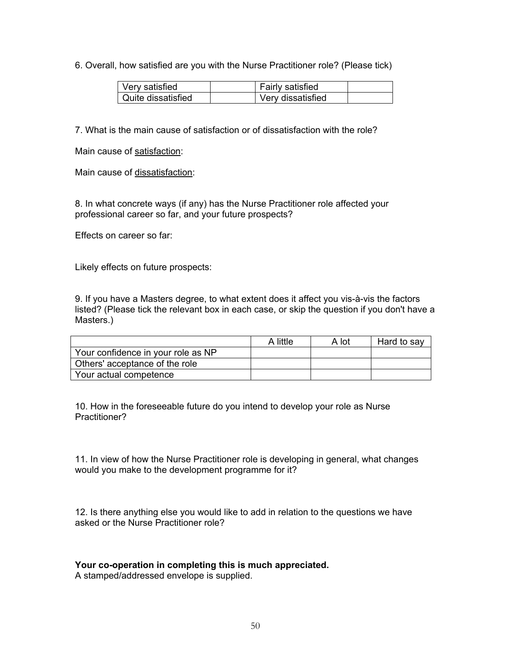6. Overall, how satisfied are you with the Nurse Practitioner role? (Please tick)

| Very satisfied     | <b>Fairly satisfied</b> |  |
|--------------------|-------------------------|--|
| Quite dissatisfied | Very dissatisfied       |  |

7. What is the main cause of satisfaction or of dissatisfaction with the role?

Main cause of satisfaction:

Main cause of dissatisfaction:

8. In what concrete ways (if any) has the Nurse Practitioner role affected your professional career so far, and your future prospects?

Effects on career so far:

Likely effects on future prospects:

9. If you have a Masters degree, to what extent does it affect you vis-à-vis the factors listed? (Please tick the relevant box in each case, or skip the question if you don't have a Masters.)

|                                    | A little | A lot | Hard to say |
|------------------------------------|----------|-------|-------------|
| Your confidence in your role as NP |          |       |             |
| Others' acceptance of the role     |          |       |             |
| Your actual competence             |          |       |             |

10. How in the foreseeable future do you intend to develop your role as Nurse Practitioner?

11. In view of how the Nurse Practitioner role is developing in general, what changes would you make to the development programme for it?

12. Is there anything else you would like to add in relation to the questions we have asked or the Nurse Practitioner role?

## **Your co-operation in completing this is much appreciated.**

A stamped/addressed envelope is supplied.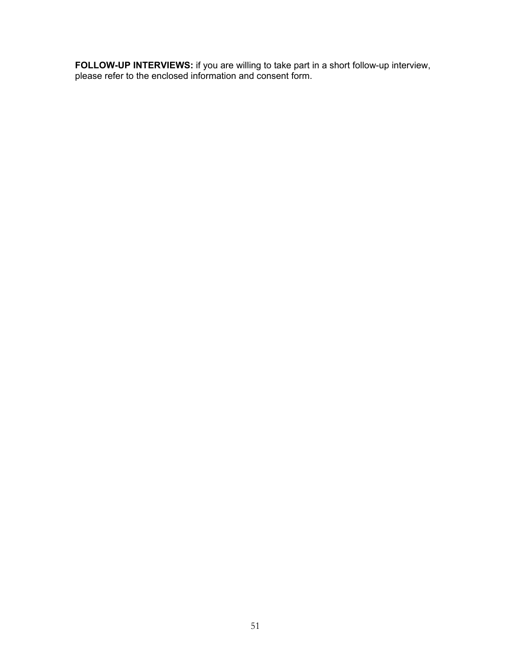**FOLLOW-UP INTERVIEWS:** if you are willing to take part in a short follow-up interview, please refer to the enclosed information and consent form.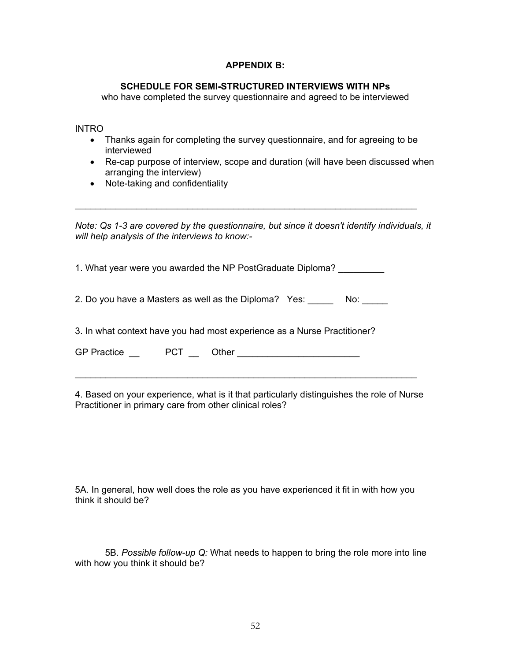## **APPENDIX B:**

#### **SCHEDULE FOR SEMI-STRUCTURED INTERVIEWS WITH NPs**

who have completed the survey questionnaire and agreed to be interviewed

INTRO

- Thanks again for completing the survey questionnaire, and for agreeing to be interviewed
- Re-cap purpose of interview, scope and duration (will have been discussed when arranging the interview)
- Note-taking and confidentiality

*Note: Qs 1-3 are covered by the questionnaire, but since it doesn't identify individuals, it will help analysis of the interviews to know:-* 

\_\_\_\_\_\_\_\_\_\_\_\_\_\_\_\_\_\_\_\_\_\_\_\_\_\_\_\_\_\_\_\_\_\_\_\_\_\_\_\_\_\_\_\_\_\_\_\_\_\_\_\_\_\_\_\_\_\_\_\_\_\_\_\_\_\_\_

1. What year were you awarded the NP PostGraduate Diploma? \_\_\_\_\_\_\_\_\_

2. Do you have a Masters as well as the Diploma? Yes: \_\_\_\_\_\_ No: \_\_\_\_\_

3. In what context have you had most experience as a Nurse Practitioner?

| <b>GP Practice</b> | PCT | <b>Other</b> |  |
|--------------------|-----|--------------|--|
|--------------------|-----|--------------|--|

4. Based on your experience, what is it that particularly distinguishes the role of Nurse Practitioner in primary care from other clinical roles?

\_\_\_\_\_\_\_\_\_\_\_\_\_\_\_\_\_\_\_\_\_\_\_\_\_\_\_\_\_\_\_\_\_\_\_\_\_\_\_\_\_\_\_\_\_\_\_\_\_\_\_\_\_\_\_\_\_\_\_\_\_\_\_\_\_\_\_

5A. In general, how well does the role as you have experienced it fit in with how you think it should be?

5B. *Possible follow-up Q:* What needs to happen to bring the role more into line with how you think it should be?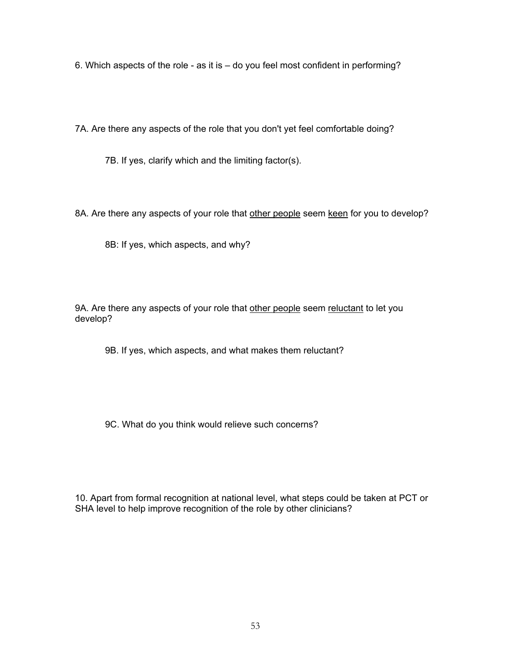6. Which aspects of the role - as it is – do you feel most confident in performing?

7A. Are there any aspects of the role that you don't yet feel comfortable doing?

7B. If yes, clarify which and the limiting factor(s).

8A. Are there any aspects of your role that other people seem keen for you to develop?

8B: If yes, which aspects, and why?

9A. Are there any aspects of your role that other people seem reluctant to let you develop?

9B. If yes, which aspects, and what makes them reluctant?

9C. What do you think would relieve such concerns?

10. Apart from formal recognition at national level, what steps could be taken at PCT or SHA level to help improve recognition of the role by other clinicians?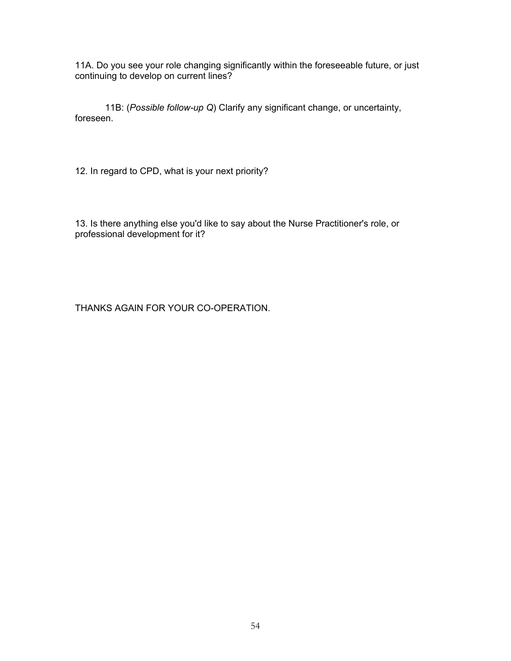11A. Do you see your role changing significantly within the foreseeable future, or just continuing to develop on current lines?

11B: (*Possible follow-up Q*) Clarify any significant change, or uncertainty, foreseen.

12. In regard to CPD, what is your next priority?

13. Is there anything else you'd like to say about the Nurse Practitioner's role, or professional development for it?

THANKS AGAIN FOR YOUR CO-OPERATION.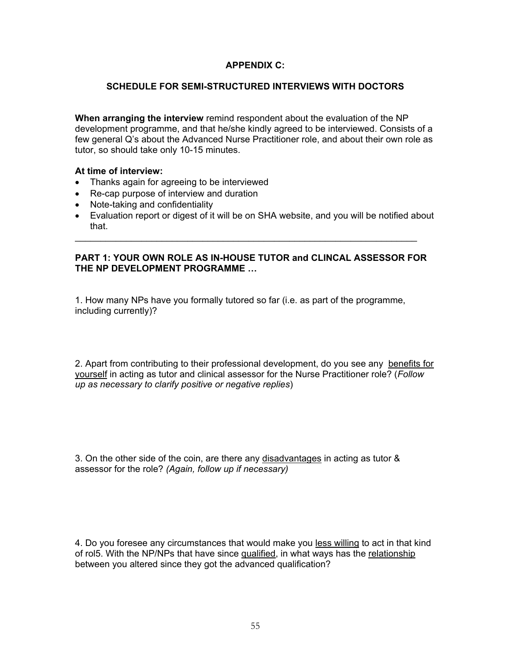## **APPENDIX C:**

#### **SCHEDULE FOR SEMI-STRUCTURED INTERVIEWS WITH DOCTORS**

**When arranging the interview** remind respondent about the evaluation of the NP development programme, and that he/she kindly agreed to be interviewed. Consists of a few general Q's about the Advanced Nurse Practitioner role, and about their own role as tutor, so should take only 10-15 minutes.

#### **At time of interview:**

- Thanks again for agreeing to be interviewed
- Re-cap purpose of interview and duration
- Note-taking and confidentiality
- Evaluation report or digest of it will be on SHA website, and you will be notified about that.

#### **PART 1: YOUR OWN ROLE AS IN-HOUSE TUTOR and CLINCAL ASSESSOR FOR THE NP DEVELOPMENT PROGRAMME …**

\_\_\_\_\_\_\_\_\_\_\_\_\_\_\_\_\_\_\_\_\_\_\_\_\_\_\_\_\_\_\_\_\_\_\_\_\_\_\_\_\_\_\_\_\_\_\_\_\_\_\_\_\_\_\_\_\_\_\_\_\_\_\_\_\_\_\_

1. How many NPs have you formally tutored so far (i.e. as part of the programme, including currently)?

2. Apart from contributing to their professional development, do you see any benefits for yourself in acting as tutor and clinical assessor for the Nurse Practitioner role? (*Follow up as necessary to clarify positive or negative replies*)

3. On the other side of the coin, are there any disadvantages in acting as tutor & assessor for the role? *(Again, follow up if necessary)* 

4. Do you foresee any circumstances that would make you less willing to act in that kind of rol5. With the NP/NPs that have since qualified, in what ways has the relationship between you altered since they got the advanced qualification?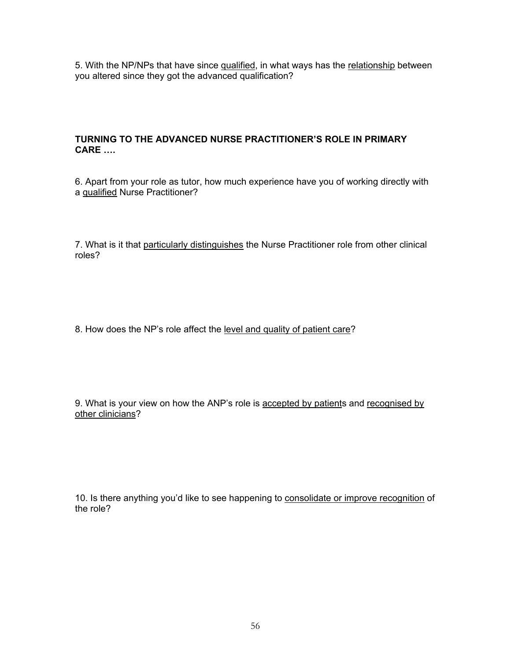5. With the NP/NPs that have since qualified, in what ways has the relationship between you altered since they got the advanced qualification?

## **TURNING TO THE ADVANCED NURSE PRACTITIONER'S ROLE IN PRIMARY CARE ….**

6. Apart from your role as tutor, how much experience have you of working directly with a qualified Nurse Practitioner?

7. What is it that particularly distinguishes the Nurse Practitioner role from other clinical roles?

8. How does the NP's role affect the level and quality of patient care?

9. What is your view on how the ANP's role is accepted by patients and recognised by other clinicians?

10. Is there anything you'd like to see happening to consolidate or improve recognition of the role?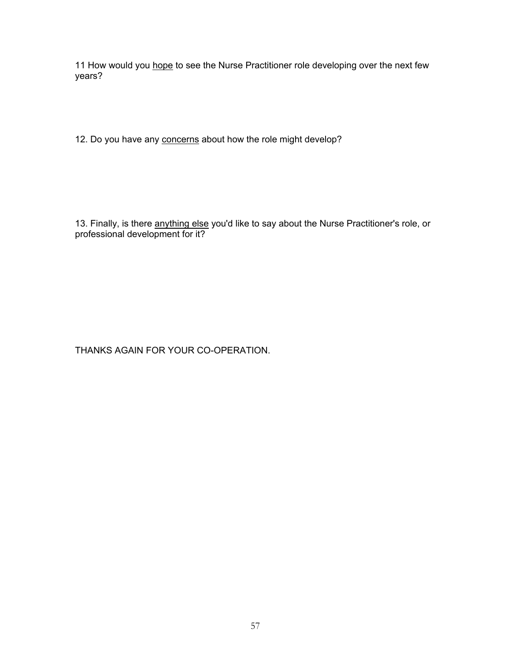11 How would you hope to see the Nurse Practitioner role developing over the next few years?

12. Do you have any concerns about how the role might develop?

13. Finally, is there anything else you'd like to say about the Nurse Practitioner's role, or professional development for it?

THANKS AGAIN FOR YOUR CO-OPERATION.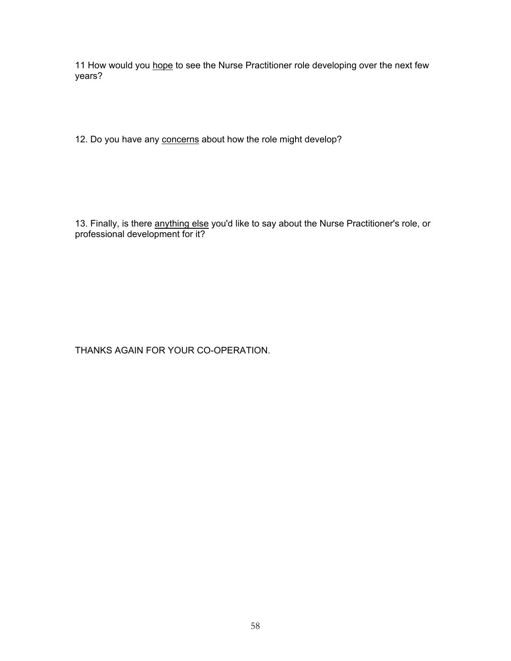11 How would you hope to see the Nurse Practitioner role developing over the next few years?

12. Do you have any concerns about how the role might develop?

13. Finally, is there anything else you'd like to say about the Nurse Practitioner's role, or professional development for it?

THANKS AGAIN FOR YOUR CO-OPERATION.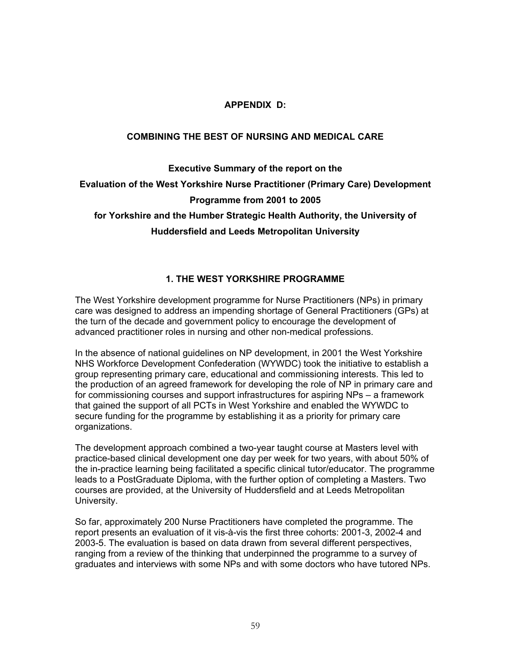## **APPENDIX D:**

## **COMBINING THE BEST OF NURSING AND MEDICAL CARE**

## **Executive Summary of the report on the Evaluation of the West Yorkshire Nurse Practitioner (Primary Care) Development Programme from 2001 to 2005 for Yorkshire and the Humber Strategic Health Authority, the University of Huddersfield and Leeds Metropolitan University**

## **1. THE WEST YORKSHIRE PROGRAMME**

The West Yorkshire development programme for Nurse Practitioners (NPs) in primary care was designed to address an impending shortage of General Practitioners (GPs) at the turn of the decade and government policy to encourage the development of advanced practitioner roles in nursing and other non-medical professions.

In the absence of national guidelines on NP development, in 2001 the West Yorkshire NHS Workforce Development Confederation (WYWDC) took the initiative to establish a group representing primary care, educational and commissioning interests. This led to the production of an agreed framework for developing the role of NP in primary care and for commissioning courses and support infrastructures for aspiring NPs – a framework that gained the support of all PCTs in West Yorkshire and enabled the WYWDC to secure funding for the programme by establishing it as a priority for primary care organizations.

The development approach combined a two-year taught course at Masters level with practice-based clinical development one day per week for two years, with about 50% of the in-practice learning being facilitated a specific clinical tutor/educator. The programme leads to a PostGraduate Diploma, with the further option of completing a Masters. Two courses are provided, at the University of Huddersfield and at Leeds Metropolitan University.

So far, approximately 200 Nurse Practitioners have completed the programme. The report presents an evaluation of it vis-à-vis the first three cohorts: 2001-3, 2002-4 and 2003-5. The evaluation is based on data drawn from several different perspectives, ranging from a review of the thinking that underpinned the programme to a survey of graduates and interviews with some NPs and with some doctors who have tutored NPs.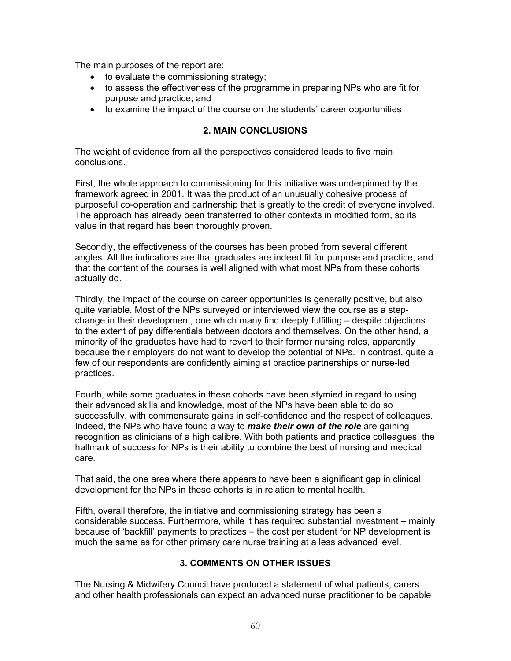The main purposes of the report are:

- to evaluate the commissioning strategy;
- to assess the effectiveness of the programme in preparing NPs who are fit for purpose and practice; and
- to examine the impact of the course on the students' career opportunities

## **2. MAIN CONCLUSIONS**

The weight of evidence from all the perspectives considered leads to five main conclusions.

First, the whole approach to commissioning for this initiative was underpinned by the framework agreed in 2001. It was the product of an unusually cohesive process of purposeful co-operation and partnership that is greatly to the credit of everyone involved. The approach has already been transferred to other contexts in modified form, so its value in that regard has been thoroughly proven.

Secondly, the effectiveness of the courses has been probed from several different angles. All the indications are that graduates are indeed fit for purpose and practice, and that the content of the courses is well aligned with what most NPs from these cohorts actually do.

Thirdly, the impact of the course on career opportunities is generally positive, but also quite variable. Most of the NPs surveyed or interviewed view the course as a stepchange in their development, one which many find deeply fulfilling – despite objections to the extent of pay differentials between doctors and themselves. On the other hand, a minority of the graduates have had to revert to their former nursing roles, apparently because their employers do not want to develop the potential of NPs. In contrast, quite a few of our respondents are confidently aiming at practice partnerships or nurse-led practices.

Fourth, while some graduates in these cohorts have been stymied in regard to using their advanced skills and knowledge, most of the NPs have been able to do so successfully, with commensurate gains in self-confidence and the respect of colleagues. Indeed, the NPs who have found a way to *make their own of the role* are gaining recognition as clinicians of a high calibre. With both patients and practice colleagues, the hallmark of success for NPs is their ability to combine the best of nursing and medical care.

That said, the one area where there appears to have been a significant gap in clinical development for the NPs in these cohorts is in relation to mental health.

Fifth, overall therefore, the initiative and commissioning strategy has been a considerable success. Furthermore, while it has required substantial investment – mainly because of 'backfill' payments to practices – the cost per student for NP development is much the same as for other primary care nurse training at a less advanced level.

## **3. COMMENTS ON OTHER ISSUES**

The Nursing & Midwifery Council have produced a statement of what patients, carers and other health professionals can expect an advanced nurse practitioner to be capable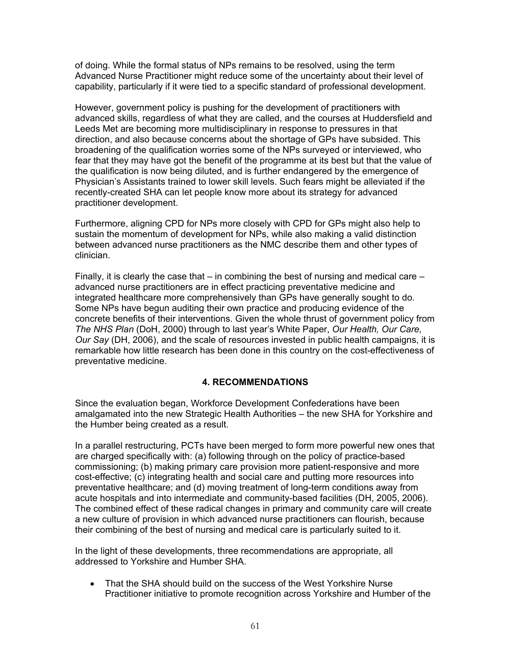of doing. While the formal status of NPs remains to be resolved, using the term Advanced Nurse Practitioner might reduce some of the uncertainty about their level of capability, particularly if it were tied to a specific standard of professional development.

However, government policy is pushing for the development of practitioners with advanced skills, regardless of what they are called, and the courses at Huddersfield and Leeds Met are becoming more multidisciplinary in response to pressures in that direction, and also because concerns about the shortage of GPs have subsided. This broadening of the qualification worries some of the NPs surveyed or interviewed, who fear that they may have got the benefit of the programme at its best but that the value of the qualification is now being diluted, and is further endangered by the emergence of Physician's Assistants trained to lower skill levels. Such fears might be alleviated if the recently-created SHA can let people know more about its strategy for advanced practitioner development.

Furthermore, aligning CPD for NPs more closely with CPD for GPs might also help to sustain the momentum of development for NPs, while also making a valid distinction between advanced nurse practitioners as the NMC describe them and other types of clinician.

Finally, it is clearly the case that  $-$  in combining the best of nursing and medical care  $$ advanced nurse practitioners are in effect practicing preventative medicine and integrated healthcare more comprehensively than GPs have generally sought to do. Some NPs have begun auditing their own practice and producing evidence of the concrete benefits of their interventions. Given the whole thrust of government policy from *The NHS Plan* (DoH, 2000) through to last year's White Paper, *Our Health, Our Care, Our Say* (DH, 2006), and the scale of resources invested in public health campaigns, it is remarkable how little research has been done in this country on the cost-effectiveness of preventative medicine.

## **4. RECOMMENDATIONS**

Since the evaluation began, Workforce Development Confederations have been amalgamated into the new Strategic Health Authorities – the new SHA for Yorkshire and the Humber being created as a result.

In a parallel restructuring, PCTs have been merged to form more powerful new ones that are charged specifically with: (a) following through on the policy of practice-based commissioning; (b) making primary care provision more patient-responsive and more cost-effective; (c) integrating health and social care and putting more resources into preventative healthcare; and (d) moving treatment of long-term conditions away from acute hospitals and into intermediate and community-based facilities (DH, 2005, 2006). The combined effect of these radical changes in primary and community care will create a new culture of provision in which advanced nurse practitioners can flourish, because their combining of the best of nursing and medical care is particularly suited to it.

In the light of these developments, three recommendations are appropriate, all addressed to Yorkshire and Humber SHA.

• That the SHA should build on the success of the West Yorkshire Nurse Practitioner initiative to promote recognition across Yorkshire and Humber of the